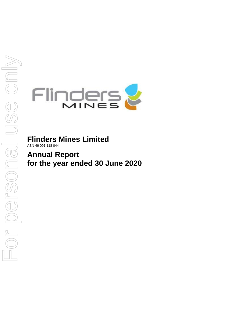

**Flinders Mines Limited** ABN 46 091 118 044

**Annual Report for the year ended 30 June 2020**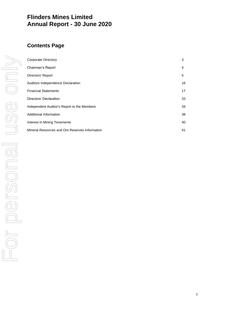# **Flinders Mines Limited Annual Report - 30 June 2020**

# **Contents Page**

| Corporate Directory                            | 3  |
|------------------------------------------------|----|
| Chairman's Report                              | 4  |
| Directors' Report                              | 5  |
| Auditors Independence Declaration              | 16 |
| <b>Financial Statements</b>                    | 17 |
| Directors' Declaration                         | 33 |
| Independent Auditor's Report to the Members    | 34 |
| Additional Information                         | 38 |
| Interest in Mining Tenements                   | 40 |
| Mineral Resources and Ore Reserves Information | 41 |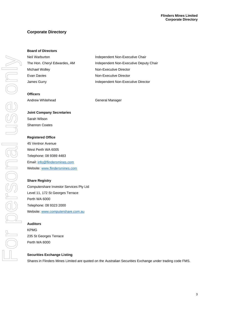# **Corporate Directory**

# **Board of Directors**

| Neil Warburton               | Independent Non-Executive Chair        |
|------------------------------|----------------------------------------|
| The Hon. Cheryl Edwardes, AM | Independent Non-Executive Deputy Chair |
| Michael Wolley               | Non-Executive Director                 |
| Evan Davies                  | Non-Executive Director                 |
| James Gurry                  | Independent Non-Executive Director     |

# **Officers**

Andrew Whitehead General Manager

# **Joint Company Secretaries**

Sarah Wilson Shannon Coates

# **Registered Office**

45 Ventnor Avenue West Perth WA 6005 Telephone: 08 9389 4483 Email[: info@flindersmines.com](mailto:info@flindersmines.com) Website[: www.flindersmines.com](http://www.flindersmines.com/)

# **Share Registry**

Computershare Investor Services Pty Ltd Level 11, 172 St Georges Terrace Perth WA 6000 Telephone: 08 9323 2000 Website[: www.computershare.com.au](http://www.computershare.com.au/)

# **Auditors**

KPMG 235 St Georges Terrace Perth WA 6000

# **Securities Exchange Listing**

Shares in Flinders Mines Limited are quoted on the Australian Securities Exchange under trading code FMS.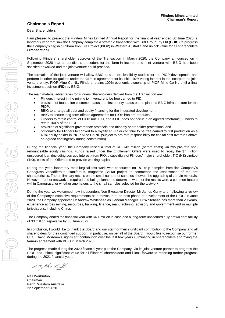# **Chairman's Report**

Dear Shareholders,

I am pleased to present the Flinders Mines Limited Annual Report for the financial year ended 30 June 2020, a landmark year that saw the Company complete a strategic transaction with BBI Group Pty Ltd (**BBIG**) to progress the Company's flagship Pilbara Iron Ore Project (**PIOP**) in Western Australia and unlock value for all shareholders (**Transaction**).

Following Flinders' shareholder approval of the Transaction in March 2020, the Company announced on 4 September 2020 that all conditions precedent for the farm-in incorporated joint venture with BBIG had been satisfied or waived and the joint venture could proceed**.**

The formation of the joint venture will allow BBIG to start the feasibility studies for the PIOP development and perform its other obligations under the farm-in agreement for its initial 10% voting interest in the incorporated joint venture entity, PIOP Mine Co NL. Flinders retains 100% economic ownership of PIOP Mine Co NL until a final investment decision (**FID**) by BBIG.

The main material advantages for Flinders Shareholders derived from the Transaction are:

- Flinders interest in the mining joint venture to be free carried to FID;
- provision of foundation customer status and first priority status on the planned BBIG infrastructure for the PIOP;
- BBIG to arrange all debt and equity financing for the integrated development;
- BBIG to secure long-term offtake agreements for PIOP iron ore products;
- Flinders to retain control of PIOP until FID, and if FID does not occur in an agreed timeframe, Flinders to retain 100% of the PIOP;
- provision of significant governance protocols and minority shareholder protections; and
- optionality for Flinders to convert to a royalty at FID or continue to be free carried to first production as a 40% equity holder in PIOP Mine Co NL (subject to pro rata responsibility for capital cost overruns above an agreed contingency during construction).

During the financial year, the Company raised a total of \$13.743 million (before costs) via two pro-rata nonrenounceable equity raisings. Funds raised under the Entitlement Offers were used to repay the \$7 million unsecured loan (including accrued interest) from PIO, a subsidiary of Flinders' major shareholder, TIO (NZ) Limited (**TIO**), costs of the Offers and to provide working capital.

During the year, laboratory metallurgical test work was conducted on RC chip samples from the Company's Canegrass vanadiferous, titaniferous, magnetite (**VTM**) project to commence the assessment of the ore characteristics. The preliminary results on the small number of samples showed the upgrading of certain minerals. However, further testwork is required and being planned to determine whether the results were a common feature within Canegrass, or whether anomalous to the small samples selected for the testwork.

During the year we welcomed new independent Non-Executive Director Mr James Gurry and, following a review of the Company's executive requirements as it moves into the next phase of development of the PIOP, in June 2020, the Company appointed Dr Andrew Whitehead as General Manager. Dr Whitehead has more than 20 years' experience across mining, resources, banking, finance, manufacturing, advisory and government and in multiple jurisdictions, including China.

The Company ended the financial year with \$4.1 million in cash and a long-term unsecured fully drawn debt facility of \$3 million, repayable by 30 June 2022.

In conclusion, I would like to thank the Board and our staff for their significant contribution to the Company and all shareholders for their continued support. In particular, on behalf of the Board, I would like to recognise our former CEO, David McAdam's significant contribution over the last few years culminating in shareholders approving the farm-in agreement with BBIG in March 2020.

The progress made during the 2020 financial year puts the Company, via its joint venture partner to progress the PIOP and unlock significant value for all Flinders' shareholders and I look forward to reporting further progress during the 2021 financial year.

S.F. Klerk

Neil Warburton Chairman Perth, Western Australia 22 September 2020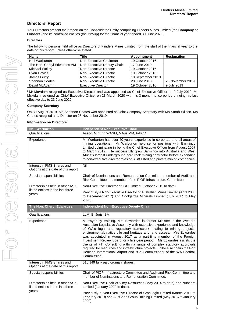# **Directors' Report**

Your Directors present their report on the Consolidated Entity comprising Flinders Mines Limited (the **Company** or **Flinders**) and its controlled entities (the **Group**) for the financial year ended 30 June 2020.

# **Directors**

The following persons held office as Directors of Flinders Mines Limited from the start of the financial year to the date of this report, unless otherwise stated.

| <b>Name</b>                 | <b>Title</b>               | Appointment       | <b>Resignation</b> |
|-----------------------------|----------------------------|-------------------|--------------------|
| Neil Warburton              | Non-Executive Chairman     | 19 October 2016   |                    |
| The Hon. Cheryl Edwardes AM | Non-Executive Deputy Chair | 17 June 2019      |                    |
| Michael Wolley              | Non-Executive Director     | 19 October 2016   |                    |
| Evan Davies                 | Non-Executive Director     | 19 October 2016   |                    |
| James Gurry                 | Non-Executive Director     | 18 September 2019 |                    |
| <b>Shannon Coates</b>       | Non-Executive Director     | 20 June 2018      | 25 November 2019   |
| David McAdam <sup>1</sup>   | Executive Director         | 19 October 2016   | 9 July 2019        |

<sup>1</sup> Mr McAdam resigned as Executive Director and was appointed as Chief Executive Officer on 9 July 2019. Mr McAdam resigned as Chief Executive Officer on 23 March 2020 with his 3-month notice period bringing his last effective day to 23 June 2020.

# **Company Secretary**

On 30 August 2019, Ms Shannon Coates was appointed as Joint Company Secretary with Ms Sarah Wilson. Ms Coates resigned as a Director on 25 November 2019.

# **Information on Directors**

| <b>Neil Warburton</b>                                                | <b>Independent Non-Executive Chair</b>                                                                                                                                                                                                                                                                                                                                                                                                                                                                                                                                                                                                                                                                 |
|----------------------------------------------------------------------|--------------------------------------------------------------------------------------------------------------------------------------------------------------------------------------------------------------------------------------------------------------------------------------------------------------------------------------------------------------------------------------------------------------------------------------------------------------------------------------------------------------------------------------------------------------------------------------------------------------------------------------------------------------------------------------------------------|
| Qualifications                                                       | Assoc. MinEng WASM, MAusIMM, FAICD                                                                                                                                                                                                                                                                                                                                                                                                                                                                                                                                                                                                                                                                     |
| Experience                                                           | Mr Warburton has over 40 years' experience in corporate and all areas of<br>Mr Warburton held senior positions with Barminco<br>mining operations.<br>Limited culminating in being the Chief Executive Officer from August 2007<br>to March 2012. He successfully grew Barminco into Australia and West<br>Africa's largest underground hard rock mining contractor before expanding<br>to non-executive director roles on ASX listed and private mining companies.                                                                                                                                                                                                                                    |
| Interest in FMS Shares and<br>Options at the date of this report     | Nil                                                                                                                                                                                                                                                                                                                                                                                                                                                                                                                                                                                                                                                                                                    |
| Special responsibilities                                             | Chair of Nominations and Remuneration Committee, member of Audit and<br>Risk Committee and member of the PIOP Infrastructure Committee.                                                                                                                                                                                                                                                                                                                                                                                                                                                                                                                                                                |
| Directorships held in other ASX                                      | Non-Executive Director of IGO Limited (October 2015 to date).                                                                                                                                                                                                                                                                                                                                                                                                                                                                                                                                                                                                                                          |
| listed entities in the last three<br>vears                           | Previously a Non-Executive Director of Australian Mines Limited (April 2003<br>to December 2017) and Coolgardie Minerals Limited (July 2017 to May<br>2020).                                                                                                                                                                                                                                                                                                                                                                                                                                                                                                                                           |
| The Hon. Cheryl Edwardes,<br>AM                                      | <b>Independent Non-Executive Deputy Chair</b>                                                                                                                                                                                                                                                                                                                                                                                                                                                                                                                                                                                                                                                          |
| Qualifications                                                       | LLM, B. Juris, BA                                                                                                                                                                                                                                                                                                                                                                                                                                                                                                                                                                                                                                                                                      |
| Experience                                                           | A lawyer by training, Mrs Edwardes is former Minister in the Western<br>Australian Legislative Assembly with extensive experience and knowledge<br>of WA's legal and regulatory framework relating to mining projects,<br>environmental, native title and heritage and land access. Mrs Edwardes<br>was appointed in August 2017 as a part-time member of the Foreign<br>Investment Review Board for a five-year period.  Ms Edwardes assists the<br>clients of FTI Consulting within a range of complex statutory approvals<br>required for resources and infrastructure projects.  She also chairs the Port<br>Hedland International Airport and is a Commissioner of the WA Football<br>Commission. |
| Interest in FMS Shares and<br>Options at the date of this report     | 516,149 fully paid ordinary shares.                                                                                                                                                                                                                                                                                                                                                                                                                                                                                                                                                                                                                                                                    |
| Special responsibilities                                             | Chair of PIOP Infrastructure Committee and Audit and Risk Committee and<br>member of Nominations and Remuneration Committee.                                                                                                                                                                                                                                                                                                                                                                                                                                                                                                                                                                           |
| Directorships held in other ASX<br>listed entities in the last three | Non-Executive Chair of Vimy Resources (May 2014 to date) and Nuheara<br>Limited (January 2020 to date).                                                                                                                                                                                                                                                                                                                                                                                                                                                                                                                                                                                                |
| years                                                                | Previously a Non-Executive Director of CropLogic Limited (March 2018 to<br>February 2019) and AusCann Group Holding Limited (May 2016 to January<br>2020).                                                                                                                                                                                                                                                                                                                                                                                                                                                                                                                                             |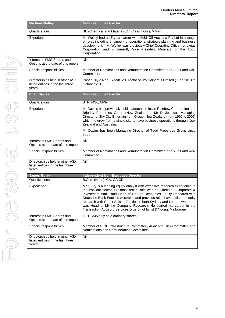| <b>Michael Wolley</b>                                                         | <b>Non-Executive Director</b>                                                                                                                                                                                                                                                                                                                                                                                                                                                                                                     |  |  |
|-------------------------------------------------------------------------------|-----------------------------------------------------------------------------------------------------------------------------------------------------------------------------------------------------------------------------------------------------------------------------------------------------------------------------------------------------------------------------------------------------------------------------------------------------------------------------------------------------------------------------------|--|--|
| Qualifications                                                                | BE (Chemical and Materials, 1 <sup>st</sup> Class Hons), MMan                                                                                                                                                                                                                                                                                                                                                                                                                                                                     |  |  |
| Experience                                                                    | Mr Wolley had a 15-year career with Mobil Oil Australia Pty Ltd in a range<br>of roles including engineering, operations, strategic planning and business<br>development. Mr Wolley was previously Chief Operating Officer for Lynas<br>Corporation and is currently Vice President Minerals for the Todd<br>Corporation.                                                                                                                                                                                                         |  |  |
| Interest in FMS Shares and<br>Options at the date of this report              | Nil                                                                                                                                                                                                                                                                                                                                                                                                                                                                                                                               |  |  |
| Special responsibilities                                                      | Member of Nominations and Remuneration Committee and Audit and Risk<br>Committee.                                                                                                                                                                                                                                                                                                                                                                                                                                                 |  |  |
| Directorships held in other ASX<br>listed entities in the last three<br>years | Previously a Non-Executive Director of Wolf Minerals Limited (June 2013 to<br>October 2018).                                                                                                                                                                                                                                                                                                                                                                                                                                      |  |  |
| <b>Evan Davies</b>                                                            | <b>Non-Executive Director</b>                                                                                                                                                                                                                                                                                                                                                                                                                                                                                                     |  |  |
| Qualifications                                                                | BTP, MSc, MPhil                                                                                                                                                                                                                                                                                                                                                                                                                                                                                                                   |  |  |
| Experience                                                                    | Mr Davies has previously held leadership roles in Rainbow Corporation and<br>Brierley Properties Group (New Zealand).<br>Mr Davies was Managing<br>Director of Sky City Entertainment Group (New Zealand) from 1996 to 2007,<br>which he grew from a single site to have business operations through New<br>Zealand and Australia.                                                                                                                                                                                                |  |  |
|                                                                               | Mr Davies has been Managing Director of Todd Properties Group since<br>2008.                                                                                                                                                                                                                                                                                                                                                                                                                                                      |  |  |
| Interest in FMS Shares and<br>Options at the date of this report              | Nil                                                                                                                                                                                                                                                                                                                                                                                                                                                                                                                               |  |  |
| Special responsibilities                                                      | Member of Nominations and Remuneration Committee and Audit and Risk<br>Committee.                                                                                                                                                                                                                                                                                                                                                                                                                                                 |  |  |
| Directorships held in other ASX<br>listed entities in the last three<br>years | Nil                                                                                                                                                                                                                                                                                                                                                                                                                                                                                                                               |  |  |
| <b>James Gurry</b>                                                            | <b>Independent Non-Executive Director</b>                                                                                                                                                                                                                                                                                                                                                                                                                                                                                         |  |  |
| Qualifications                                                                | B.Com (Hons), CA, GAICD                                                                                                                                                                                                                                                                                                                                                                                                                                                                                                           |  |  |
| Experience                                                                    | Mr Gurry is a leading equity analyst with extensive research experience in<br>the iron ore sector. His most recent role was as Director $-$ Corporate &<br>Investment Bank, and Head of Natural Resources Equity Research with<br>Deutsche Bank Equities Australia, and previous roles have included equity<br>research with Credit Suisse Equities in both Sydney and London where he<br>was Head of Mining Company Research. He started his career in the<br>Transaction Advisory Services Division of Ernst & Young, Melbourne |  |  |
| Interest in FMS Shares and<br>Options at the date of this report              | 1,012,345 fully paid ordinary shares.                                                                                                                                                                                                                                                                                                                                                                                                                                                                                             |  |  |
| Special responsibilities                                                      | Member of PIOP Infrastructure Committee, Audit and Risk Committee and<br>Nominations and Remuneration Committee.                                                                                                                                                                                                                                                                                                                                                                                                                  |  |  |
| Directorships held in other ASX<br>listed entities in the last three<br>years | Nil                                                                                                                                                                                                                                                                                                                                                                                                                                                                                                                               |  |  |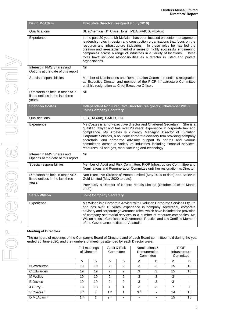| <b>David McAdam</b>                                                           | <b>Executive Director (resigned 9 July 2019)</b>                                                                                                                                                                                                                                                                                                                                                                                                                                                             |
|-------------------------------------------------------------------------------|--------------------------------------------------------------------------------------------------------------------------------------------------------------------------------------------------------------------------------------------------------------------------------------------------------------------------------------------------------------------------------------------------------------------------------------------------------------------------------------------------------------|
| Qualifications                                                                | BE (Chemical, 1 <sup>st</sup> Class Hons), MBA, FAICD, FIEAust                                                                                                                                                                                                                                                                                                                                                                                                                                               |
| Experience                                                                    | In the past 20 years, Mr McAdam has been focused on senior management<br>leadership roles in design and construction organisations that focus on the<br>resource and infrastructure industries. In these roles he has led the<br>creation and re-establishment of a series of highly successful engineering<br>companies across a range of industries in a variety of locations.<br>These<br>roles have included responsibilities as a director in listed and private<br>organisations.                      |
| Interest in FMS Shares and<br>Options at the date of this report              | Nil                                                                                                                                                                                                                                                                                                                                                                                                                                                                                                          |
| Special responsibilities                                                      | Member of Nominations and Remuneration Committee until his resignation<br>as Executive Director and member of the PIOP Infrastructure Committee<br>until his resignation as Chief Executive Officer.                                                                                                                                                                                                                                                                                                         |
| Directorships held in other ASX<br>listed entities in the last three<br>years | Nil                                                                                                                                                                                                                                                                                                                                                                                                                                                                                                          |
| <b>Shannon Coates</b>                                                         | Independent Non-Executive Director (resigned 25 November 2019)<br><b>Joint Company Secretary</b>                                                                                                                                                                                                                                                                                                                                                                                                             |
| Qualifications                                                                | LLB, BA (Jur), GAICD, GIA                                                                                                                                                                                                                                                                                                                                                                                                                                                                                    |
| Experience                                                                    | Ms Coates is a non-executive director and Chartered Secretary. She is a<br>qualified lawyer and has over 20 years' experience in corporate law and<br>compliance. Ms. Coates is currently Managing Director of Evolution<br>Corporate Services, a boutique corporate advisory firm providing company<br>secretarial and corporate advisory support to boards and various<br>committees across a variety of industries including financial services,<br>resources, oil and gas, manufacturing and technology. |
| Interest in FMS Shares and<br>Options at the date of this report              | Nil                                                                                                                                                                                                                                                                                                                                                                                                                                                                                                          |
| Special responsibilities                                                      | Member of Audit and Risk Committee, PIOP Infrastructure Committee and<br>Nominations and Remuneration Committee until her resignation as Director.                                                                                                                                                                                                                                                                                                                                                           |
| Directorships held in other ASX<br>listed entities in the last three          | Non-Executive Director of Vmoto Limited (May 2014 to date) and Bellevue<br>Gold Limited (May 2020 to date).                                                                                                                                                                                                                                                                                                                                                                                                  |
| years                                                                         | Previously a Director of Kopore Metals Limited (October 2015 to March<br>2020).                                                                                                                                                                                                                                                                                                                                                                                                                              |
| <b>Sarah Wilson</b>                                                           | <b>Joint Company Secretary</b>                                                                                                                                                                                                                                                                                                                                                                                                                                                                               |
| Experience                                                                    | Ms Wilson is a Corporate Advisor with Evolution Corporate Services Pty Ltd<br>and has over 10 years' experience in company secretarial, corporate<br>advisory and corporate governance roles, which have included the provision<br>of company secretarial services to a number of resource companies. Ms<br>Wilson holds a Certificate in Governance Practice and is a Certified Member<br>of the Governance Institute of Australia.                                                                         |

# **Meeting of Directors**

The numbers of meetings of the Company's Board of Directors and of each Board committee held during the year ended 30 June 2020, and the numbers of meetings attended by each Director were:

|                       | Audit & Risk<br>Full meetings<br>of Directors<br>Committee |    | Nominations &<br>Remuneration<br>Committee |                | <b>PIOP</b><br>Infrastructure<br>Committee |                          |    |    |
|-----------------------|------------------------------------------------------------|----|--------------------------------------------|----------------|--------------------------------------------|--------------------------|----|----|
|                       | A                                                          | B  | A                                          | B              | A                                          | B                        | A  | B  |
| N Warburton           | 19                                                         | 19 | $\mathcal{P}$                              | $\mathfrak{p}$ | 3                                          | 3                        | 15 | 15 |
| C Edwardes            | 19                                                         | 19 | $\overline{2}$                             | $\overline{2}$ | 3                                          | 3                        | 15 | 15 |
| M Wolley              | 19                                                         | 19 | 2                                          | $\overline{2}$ | 3                                          | 3                        | 3  |    |
| E Davies              | 19                                                         | 19 | $\mathcal{P}$                              | 2              | 3                                          | 3                        | 3  |    |
| J Gurry <sup>1</sup>  | 13                                                         | 13 |                                            | ◢              | 3                                          | 3                        | 7  |    |
| S Coates <sup>2</sup> | 8 <sup>4</sup>                                             | 8  | 16                                         | 4              | 3 <sup>8</sup>                             | $\overline{\phantom{0}}$ | 14 | 15 |
| D McAdam $3$          | 1 <sub>5</sub>                                             |    | $2^7$                                      |                |                                            |                          | 15 | 15 |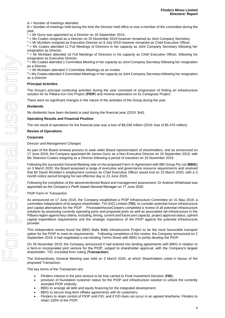A = Number of meetings attended.

B = Number of meetings held during the time the Director held office or was a member of the committee during the year.

 $1 = Mr Gurry was appointed as a Director on 18 September 2019.$ 

 $2$  = Ms Coates resigned as a Director on 25 November 2019 however remained as Joint Company Secretary.

 $3 =$  Mr McAdam resigned as Executive Director on 9 July 2019 however remained as Chief Executive Officer. <sup>4</sup> = Ms Coates attended 11 Full Meetings of Directors in her capacity as Joint Company Secretary following her

resignation as Director.  $<sup>5</sup>$  = Mr McAdam attended 18 Full Meetings of Directors in his capacity as Chief Executive Officer, following his</sup> resignation as Executive Director.

 $6$  = Ms Coates attended 1 Committee Meeting in her capacity as Joint Company Secretary following her resignation as a Director.

 $7$  = Mr McAdam attended 2 Committee Meetings as an Invitee.

8 = Ms Coates attended 3 Committee Meetings in her capacity as Joint Company Secretary following her resignation as a Director.

# **Principal Activities**

The Group's principal continuing activities during the year consisted of progression of finding an infrastructure solution for its Pilbara Iron Ore Project (**PIOP**) and mineral exploration on its Canegrass Project.

There were no significant changes in the nature of the activities of the Group during the year.

# **Dividends**

No dividends have been declared or paid during the financial year (2019: \$nil).

# **Operating Results and Financial Position**

The net result of operations for the financial year was a loss of \$8.038 million (2019: loss of \$5.470 million).

# **Review of Operations**

#### **Corporate**

#### *Director and Management Changes*

As part of the Board renewal process to seek wider Board representation of shareholders, and as announced on 17 June 2019, the Company appointed Mr James Gurry as a Non-Executive Director on 18 September 2019, with Ms Shannon Coates resigning as a Director following a period of transition on 25 November 2019.

Following the successful General Meeting vote on the proposed Farm-In Agreement with BBI Group Pty Ltd (**BBIG**) on 3 March 2020, the Board assessed a range of executive and governance resource requirements and resolved that Mr David McAdam's employment contract as Chief Executive Officer would end on 23 March 2020, with a 3 month notice period bringing his last effective day to 23 June 2020.

Following the completion of the abovementioned Board and management assessment, Dr Andrew Whitehead was appointed as the Company's Perth based General Manager on 17 June 2020.

# *PIOP Farm-In Transaction*

As announced on 17 June 2019, the Company established a PIOP Infrastructure Committee on 31 May 2019, a committee independent of its largest shareholder, TIO (NZ) Limited (**TIO**), to consider potential future infrastructure and capital alternatives for the PIOP. PricewaterhouseCoopers completed a review of all potential infrastructure solutions by assessing currently operating ports and proposed ports as well as associated rail infrastructure in the Pilbara region against key criteria, including, timing, current and future port capacity, project approval status, upfront capital expenditure requirements and the strategic importance of the PIOP against the potential infrastructure provider.

This independent review found the BBIG Balla Balla Infrastructure Project to be the most favourable transport option for the PIOP to meet its requirements. Following completion of this review, the Company announced on 2 September 2019, it had negotiated a non-binding Terms Sheet with BBIG to jointly develop the PIOP.

On 28 November 2019, the Company announced it had entered into binding agreements with BBIG in relation to a farm-in incorporated joint venture for the PIOP, subject to shareholder approval, with the Company's largest shareholder, TIO, excluded from voting (**Transaction**).

The Extraordinary General Meeting was held on 3 March 2020, at which Shareholders voted in favour of the proposed Transaction.

The key terms of the Transaction are:

- Flinders interest in the joint venture to be free carried to Final Investment Decision (**FID**);
- provision of foundation customer status for the PIOP and infrastructure solution to unlock the currently stranded PIOP orebody;
- BBIG to arrange all debt and equity financing for the integrated development;
- BBIG to secure long-term offtake agreements with its customers;
- Flinders to retain control of PIOP until FID, and if FID does not occur in an agreed timeframe, Flinders to retain 100% of the PIOP;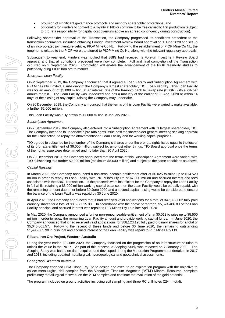- provision of significant governance protocols and minority shareholder protections; and
- optionality for Flinders to convert to a royalty at FID or continue to be free carried to first production (subject to pro rata responsibility for capital cost overruns above an agreed contingency during construction).

Following shareholder approval of the Transaction, the Company progressed its conditions precedent to the transaction documents, including obtaining Foreign Investment Review Board approval on 1 June 2020 and set up of an incorporated joint venture vehicle, PIOP Mine Co NL. Following the establishment of PIOP Mine Co NL, the tenements related to the PIOP were transferred to PIOP Mine Co NL, along with the relevant regulatory approvals.

Subsequent to year end, Flinders was notified that BBIG had received its Foreign Investment Review Board approval and that all conditions precedent were now complete. Full and final completion of the Transaction occurred on 3 September 2020. Completion will enable the advancement of the PIOP feasibility studies to potentially bring PIOP Iron ore to market.

# *Short-term Loan Facility*

On 2 September 2019, the Company announced that it agreed a Loan Facility and Subscription Agreement with PIO Mines Pty Limited, a subsidiary of the Company's largest shareholder, TIO (**Loan Facility**). This Loan Facility was for an amount of \$5.000 million, at an interest rate of the 6-month bank bill swap rate (BBSR) with a 2% per annum margin. The Loan Facility was unsecured and has a maturity of the earlier of 30 April 2020 or within 14 days of the closing of any capital raising the Company may undertake.

On 20 December 2019, the Company announced that the terms of this Loan Facility were varied to make available, a further \$2.000 million.

This Loan Facility was fully drawn to \$7.000 million in January 2020.

# *Subscription Agreement*

On 2 September 2019, the Company also entered into a Subscription Agreement with its largest shareholder, TIO. The Company intended to undertake a pro rata rights issue post the shareholder general meeting seeking approval for the Transaction, to repay the abovementioned Loan Facility and for working capital purposes.

TIO agreed to subscribe for the number of the Company's shares under the pro rata rights issue equal to the lesser of its pro rata entitlement of \$6.000 million, subject to, amongst other things, TIO Board approval once the terms of the rights issue were determined and no later than 30 April 2020.

On 20 December 2019, the Company announced that the terms of this Subscription Agreement were varied, with TIO subscribing to a further \$2.000 million (maximum \$8.000 million) and subject to the same conditions as above.

# *Capital Raisings*

In March 2020, the Company announced a non-renounceable entitlement offer at \$0.025 to raise up to \$14.520 million in order to repay its Loan Facility with PIO Mines Pty Ltd of \$7.000 million and accrued interest and fees associated with the BBIG Transaction. If the proceeds were insufficient for the Company to repay the Loan Facility in full whilst retaining a \$3.000 million working capital balance, then the Loan Facility would be partially repaid, with the remaining amount due on or before 30 June 2020 and a second capital raising would be considered to ensure the balance of the Loan Facility was repaid by 30 June 2020.

In April 2020, the Company announced that it had received valid applications for a total of 347,892,602 fully paid ordinary shares for a total of \$8,697,315.80. In accordance with the above paragraph, \$5,624,406.80 of the Loan Facility principal and accrued interest was repaid to PIO Mines Pty Lt in late April 2020.

In May 2020, the Company announced a further non-renounceable entitlement offer at \$0.013 to raise up to \$5.500 million in order to repay the remaining Loan Facility amount and provide working capital funds. In June 2020, the Company announced that it had received valid applications for 388,123,198 fully paid ordinary shares for a total of \$5,045,601.57. Following the receipt of these funds and before 30 June 2020, the remaining outstanding \$1,495,885.90 in principal and accrued interest of the Loan Facility was repaid to PIO Mines Pty Ltd.

# **Pilbara Iron Ore Project, Western Australia**

During the year ended 30 June 2020, the Company focussed on the progression of an infrastructure solution to unlock the value in the PIOP. As part of this process, a Scoping Study was released on 7 January 2020. The Scoping Study was based on data acquired and developed during the Maturation Programme undertaken in 2017 and 2018, including updated metallurgical, hydrogeological and geotechnical assessments.

# **Canegrass, Western Australia**

The Company engaged CSA Global Pty Ltd to design and execute an exploration program with the objective to collect metallurgical drill samples from the Vanadium Titanium Magnetite ('VTM') Mineral Resource, complete preliminary metallurgical testwork on the VTM samples and continue the evaluation of the gold potential.

The program included on ground activities including soil sampling and three RC drill holes (294m total).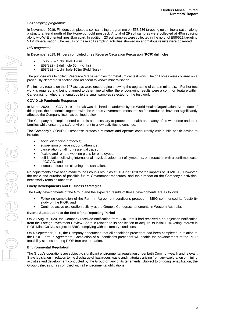# *Soil sampling programme*

In November 2019, Flinders completed a soil sampling programme on E58/236 targeting gold mineralisation along a structural trend north of the Honeypot gold prospect. A total of 29 soil samples were collected at 40m spacing along two W-E oriented lines 1km apart. In addition, 23 soil samples were collected in the north of E58/521 targeting VTM mineralisation. The results of these soil sampling activities showed no anomalous results were observed.

#### *Drill programme*

In December 2019, Flinders completed three Reverse Circulation Percussion (**RCP**) drill holes.

- E58/236 1 drill hole 126m
- E58/232 1 drill hole 60m (Kinks)
- E58/282 1 drill hole 108m (Fold Nose)

The purpose was to collect Resource Grade samples for metallurgical test work. The drill holes were collared on a previously cleared drill section and adjacent to known mineralisation.

Preliminary results on the 147 assays were encouraging showing the upgrading of certain minerals. Further test work is required and being planned to determine whether the encouraging results were a common feature within Canegrass, or whether anomalous to the small samples selected for the test work.

#### **COVID-19 Pandemic Response**

In March 2020, the COVID-19 outbreak was declared a pandemic by the World Health Organisation. At the date of this report, the pandemic, together with the various Government measures so far introduced, have not significantly affected the Company itself, as outlined below.

The Company has implemented controls as necessary to protect the health and safety of its workforce and their families while ensuring a safe environment to allow activities to continue.

The Company's COVID-19 response protocols reinforce and operate concurrently with public health advice to include:

- social distancing protocols;
- suspension of large indoor gatherings;
- cancellation of all non-essential travel;
- flexible and remote working plans for employees;
- self-isolation following international travel, development of symptoms, or interaction with a confirmed case of COVID; and
- increased focus on cleaning and sanitation.

No adjustments have been made to the Group's result as at 30 June 2020 for the impacts of COVID-19. However, the scale and duration of possible future Government measures, and their impact on the Company's activities, necessarily remains uncertain.

#### **Likely Developments and Business Strategies**

The likely developments of the Group and the expected results of those developments are as follows:

- Following completion of the Farm-In Agreement conditions precedent, BBIG commenced its feasibility study on the PIOP; and
- Continue active exploration activity at the Group's Canegrass tenements in Western Australia.

#### **Events Subsequent to the End of the Reporting Period**

On 20 August 2020, the Company received notification from BBIG that it had received a no objection notification from the Foreign Investment Review Board in relation to its application to acquire its initial 10% voting interest in PIOP Mine Co NL, subject to BBIG complying with customary conditions.

On 4 September 2020, the Company announced that all conditions precedent had been completed in relation to the PIOP Farm-In Agreement. Completion of all conditions precedent will enable the advancement of the PIOP feasibility studies to bring PIOP Iron ore to market.

#### **Environmental Regulation**

The Group's operations are subject to significant environmental regulation under both Commonwealth and relevant State legislation in relation to the discharge of hazardous waste and materials arising from any exploration or mining activities and development conducted by the Group on any of its tenements. Subject to ongoing rehabilitation, the Group believes it has complied with all environmental obligations.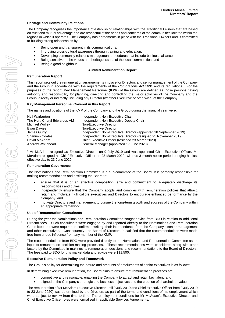# **Heritage and Community Relations**

The Company recognises the importance of establishing relationships with the Traditional Owners that are based on trust and mutual advantage and are respectful of the needs and concerns of the communities located within the regions in which it operates. The Company has agreements in place with the Traditional Owners and is committed to building strong relationships by:

- Being open and transparent in its communications;
- Improving cross-cultural awareness through training and education;
- Developing community relations management procedures that include business alliances;
- Being sensitive to the values and heritage issues of the local communities; and
- Being a good neighbour.

# **Audited Remuneration Report**

#### **Remuneration Report**

This report sets out the remuneration arrangements in place for Directors and senior management of the Company and the Group in accordance with the requirements of the *Corporations Act 2001* and its regulations. For the purposes of the report, Key Management Personnel (**KMP**) of the Group are defined as those persons having authority and responsibility for planning, directing and controlling the major activities of the Company and the Group, directly or indirectly, including any Director (whether Executive or otherwise) of the Company.

# **Key Management Personnel Covered in this Report**

The names and positions of the KMP of the Company and the Group during the financial year were:

| Neil Warburton              | Independent Non-Executive Chair                                  |
|-----------------------------|------------------------------------------------------------------|
| The Hon. Cheryl Edwardes AM | Independent Non-Executive Deputy Chair                           |
| Michael Wolley              | Non-Executive Director                                           |
| Evan Davies                 | Non-Executive Director                                           |
| James Gurry                 | Independent Non-Executive Director (appointed 18 September 2019) |
| Shannon Coates              | Independent Non-Executive Director (resigned 25 November 2019)   |
| David McAdam <sup>1</sup>   | Chief Executive Officer (resigned 23 March 2020)                 |
| Andrew Whitehead            | General Manager (appointed 17 June 2020)                         |
|                             |                                                                  |

<sup>1</sup>Mr McAdam resigned as Executive Director on 9 July 2019 and was appointed Chief Executive Officer. Mr McAdam resigned as Chief Executive Officer on 23 March 2020, with his 3-month notice period bringing his last effective day to 23 June 2020.

# **Remuneration Governance**

The Nominations and Remuneration Committee is a sub-committee of the Board. It is primarily responsible for making recommendations and assisting the Board to:

- ensure that it is of an effective composition, size and commitment to adequately discharge its responsibilities and duties;
- independently ensure that the Company adopts and complies with remuneration policies that attract, retain and motivate high calibre executives and Directors to encourage enhanced performance by the Company; and
- motivate Directors and management to pursue the long-term growth and success of the Company within an appropriate framework.

# **Use of Remuneration Consultants**

During the year the Nominations and Remuneration Committee sought advice from BDO in relation to additional Director fees. Such consultants were engaged by and reported directly to the Nominations and Remuneration Committee and were required to confirm in writing, their independence from the Company's senior management and other executives. Consequently, the Board of Directors is satisfied that the recommendations were made free from undue influence from any member of the KMP.

The recommendations from BDO were provided directly to the Nominations and Remuneration Committee as an input to remuneration decision-making processes. These recommendations were considered along with other factors by the Committee in makings its remuneration decisions and recommendations to the Board of Directors. The fees paid to BDO for this market data and advice were \$11,500.

# **Executive Remuneration Policy and Framework**

The Group's policy for determining the nature and amounts of emoluments of senior executives is as follows:

In determining executive remuneration, the Board aims to ensure that remuneration practices are:

- competitive and reasonable, enabling the Company to attract and retain key talent; and
- aligned to the Company's strategic and business objectives and the creation of shareholder value.

The remuneration of Mr McAdam (Executive Director until 9 July 2019 and Chief Executive Officer from 9 July 2019 to 23 June 2020) was determined by the Directors as part of the terms and conditions of his employment which were subject to review from time to time. The employment conditions for Mr McAdam's Executive Director and Chief Executive Officer roles were formalised in applicable Services Agreements.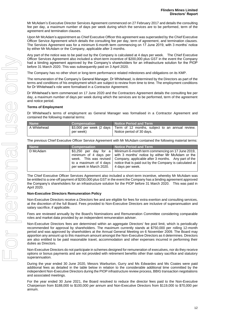Mr McAdam's Executive Director Services Agreement commenced on 27 February 2017 and details the consulting fee per day, a maximum number of days per week during which the services are to be performed, term of the agreement and termination clauses.

Upon Mr McAdam's appointment as Chief Executive Officer this agreement was superseded by the Chief Executive Officer Service Agreement which details the consulting fee per day, term of agreement, and termination clauses. The Services Agreement was for a minimum 6-month term commencing on 17 June 2019, with 3 months' notice by either Mr McAdam or the Company, applicable after 3 months.

Any part of the notice was to be paid out by the Company is calculated at 4 days per week. The Chief Executive Officer Services Agreement also included a short-term incentive of \$200,000 plus GST in the event the Company had a binding agreement approved by the Company's shareholders for an infrastructure solution for the PIOP before 31 March 2020. This was subsequently paid on 3 April 2020.

The Company has no other short or long-term performance related milestones and obligations on its KMP.

The remuneration of the Company's General Manager, Dr Whitehead, is determined by the Directors as part of the terms and conditions of his employment which are subject to review from time to time. The employment conditions for Dr Whitehead's role were formalised in a Contractor Agreement.

Dr Whitehead's term commenced on 17 June 2020 and the Contractors Agreement details the consulting fee per day, a maximum number of days per week during which the services are to be performed, term of the agreement and notice period.

# **Terms of Employment**

Dr Whitehead's terms of employment as General Manager was formalised in a Contractor Agreement and contained the following material terms:

| <b>Name</b> | <b>Compensation</b> | Notice Period and Term                                                                                  |
|-------------|---------------------|---------------------------------------------------------------------------------------------------------|
| A Whitehead | per week)           | \$3,000 per week (2 days   Term of 12 months, subject to an annual review.<br>Notice period of 30 days. |

The previous Chief Executive Officer Service Agreement with Mr McAdam contained the following material terms:

| <b>Name</b> | <b>Compensation</b>                                                                                                           | Notice Period and Term                                                                                                                                                                                                                     |
|-------------|-------------------------------------------------------------------------------------------------------------------------------|--------------------------------------------------------------------------------------------------------------------------------------------------------------------------------------------------------------------------------------------|
| D McAdam    | \$3.250 per day for a<br>minimum of 4 days per<br>week. This was revised<br>to a maximum of 4 days<br>per week in March 2020. | Minimum 6-month term commencing on 17 June 2019,<br>with 3 months' notice by either Mr McAdam or the<br>Company, applicable after 3 months. Any part of the<br>notice that is paid out by the Company is calculated at<br>4 days per week. |
|             |                                                                                                                               |                                                                                                                                                                                                                                            |

The Chief Executive Officer Services Agreement also included a short-term incentive, whereby Mr McAdam was be entitled to a one-off payment of \$200,000 plus GST in the event the Company has a binding agreement approved the Company's shareholders for an infrastructure solution for the PIOP before 31 March 2020. This was paid in April 2020.

# **Non-Executive Directors Remuneration Policy**

Non-Executive Directors receive a Directors fee and are eligible for fees for extra exertion and consulting services, at the discretion of the full Board. Fees provided to Non-Executive Directors are inclusive of superannuation and salary sacrifice, if applicable.

Fees are reviewed annually by the Board's Nominations and Remuneration Committee considering comparable roles and market data provided by an independent remuneration adviser.

Non-Executive Directors fees are determined within an aggregate Directors' fee pool limit, which is periodically recommended for approval by shareholders. The maximum currently stands at \$750,000 per rolling 12-month period and was approved by shareholders at the Annual General Meeting on 6 November 2009. The Board may apportion any amount up to this maximum amount amongst the Non-Executive Directors as it determines. Directors are also entitled to be paid reasonable travel, accommodation and other expenses incurred in performing their duties as Directors.

Non-Executive Directors do not participate in schemes designed for remuneration of executives, nor do they receive options or bonus payments and are not provided with retirement benefits other than salary sacrifice and statutory superannuation.

During the year ended 30 June 2020, Messrs Warburton, Gurry and Ms Edwardes and Ms Coates were paid additional fees as detailed in the table below in relation to the considerable additional time committed by the independent Non-Executive Directors during the PIOP infrastructure review process, BBIG transaction negotiations and associated meetings.

For the year ended 30 June 2021, the Board resolved to reduce the director fees paid to the Non-Executive Chairperson from \$188,000 to \$100,000 per annum and Non-Executive Directors from \$119,000 to \$70,000 per annum.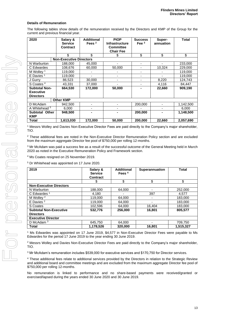# **Details of Remuneration**

The following tables show details of the remuneration received by the Directors and KMP of the Group for the current and previous financial year.

| 2020                                                         | Salary &<br><b>Service</b><br>Contract | <b>Additional</b><br>Fees $2$ | <b>PIOP</b><br><b>Infrastructure</b><br><b>Committee</b><br><b>Chair Fee</b> | <b>Success</b><br>Fee $3$ | Super-<br>annuation | <b>Total</b> |
|--------------------------------------------------------------|----------------------------------------|-------------------------------|------------------------------------------------------------------------------|---------------------------|---------------------|--------------|
|                                                              | \$                                     | \$                            | \$                                                                           | \$                        | \$                  | \$           |
|                                                              | <b>Non-Executive Directors</b>         |                               |                                                                              |                           |                     |              |
| N Warburton                                                  | 188,000                                | 45,000                        |                                                                              | ۰                         |                     | 233,000      |
| C Edwardes                                                   | 108,676                                | 60,000                        | 50,000                                                                       | Ξ.                        | 10,324              | 229,000      |
| M Wollev <sup>1</sup>                                        | 119,000                                | ۰                             |                                                                              | ۰                         |                     | 119,000      |
| E Davies <sup>1</sup>                                        | 119,000                                |                               |                                                                              | Ξ.                        |                     | 119,000      |
| J Gurry                                                      | 86,523                                 | 30,000                        |                                                                              |                           | 8,220               | 124,743      |
| S Coates <sup>4</sup>                                        | 43,331                                 | 37,000                        |                                                                              | ۰                         | 4,116               | 84,447       |
| <b>Subtotal Non-</b><br><b>Executive</b><br><b>Directors</b> | 664,530                                | 172,000                       | 50,000                                                                       |                           | 22,660              | 909,190      |
|                                                              | <b>Other KMP</b>                       |                               |                                                                              |                           |                     |              |
| D McAdam                                                     | 942,500                                | -                             |                                                                              | 200,000                   | $\blacksquare$      | 1,142,500    |
| A Whitehead 5                                                | 6,000                                  | -                             |                                                                              |                           |                     | 6,000        |
| <b>Subtotal Other</b><br><b>KMP</b>                          | 948,500                                |                               |                                                                              | 200,000                   | $\blacksquare$      | 1,148,500    |
| <b>Total</b>                                                 | 1,613,030                              | 172,000                       | 50,000                                                                       | 200,000                   | 22,660              | 2,057,690    |

<sup>1</sup> Messrs Wolley and Davies Non-Executive Director Fees are paid directly to the Company's major shareholder, TIO.

<sup>2</sup> These additional fees are noted in the Non-Executive Director Remuneration Policy section and are excluded from the maximum aggregate Director fee pool of \$750,000 per rolling 12-months.

<sup>3</sup> Mr McAdam was paid a success fee as a result of the successful outcome of the General Meeting held in March 2020 as noted in the Executive Remuneration Policy and Framework section.

<sup>4</sup> Ms Coates resigned on 25 November 2019.

<sup>5</sup> Dr Whitehead was appointed on 17 June 2020.

| 2019                           | Salary &<br><b>Service</b><br><b>Contract</b> | <b>Additional</b><br>Fees $4$ | Superannuation           | <b>Total</b> |
|--------------------------------|-----------------------------------------------|-------------------------------|--------------------------|--------------|
|                                | \$                                            | \$                            | \$                       | \$           |
| <b>Non-Executive Directors</b> |                                               |                               |                          |              |
| N Warburton                    | 188.000                                       | 64.000                        |                          | 252,000      |
| C Edwardes <sup>1</sup>        | 4.180                                         |                               | 397                      | 4.577        |
| M Wolley <sup>2</sup>          | 119,000                                       | 64.000                        |                          | 183.000      |
| $E$ Davies $2$                 | 119,000                                       | 64.000                        | $\overline{\phantom{0}}$ | 183,000      |
| S Coates                       | 102,596                                       | 64.000                        | 16.404                   | 183.000      |
| <b>Subtotal Non-Executive</b>  | 532.776                                       | 256,000                       | 16,801                   | 805,577      |
| <b>Directors</b>               |                                               |                               |                          |              |
| <b>Executive Director</b>      |                                               |                               |                          |              |
| D McAdam <sup>3</sup>          | 645,750                                       | 64.000                        |                          | 709,750      |
| Total                          | 1,178,526                                     | 320,000                       | 16.801                   | 1.515.327    |

<sup>1</sup> Ms Edwardes was appointed on 17 June 2019, \$4,577 in Non-Executive Director Fees were payable to Ms Edwardes for the period 17 June 2019 to the year ending 30 June 2019.

<sup>2</sup> Messrs Wolley and Davies Non-Executive Director Fees are paid directly to the Company's major shareholder, TIO.

<sup>3</sup> Mr McAdam's remuneration includes \$539,000 for executive services and \$170,750 for Director services.

<sup>4</sup> These additional fees relate to additional services provided by the Directors in relation to the Strategic Review and additional board and committee meetings and are excluded from the maximum aggregate Director fee pool of \$750,000 per rolling 12-months.

No remuneration is linked to performance and no share-based payments were received/granted or exercised/lapsed during the years ended 30 June 2020 and 30 June 2019.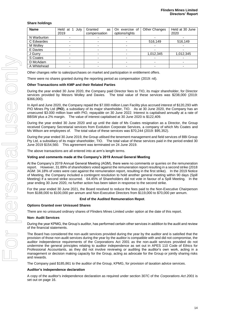# **Share holdings**

| <b>Name</b> | Held at<br>July<br>2019 | Granted<br>as<br>compensation | On exercise of<br>options/rights | <b>Other Changes</b> | Held at 30 June<br>2020 |
|-------------|-------------------------|-------------------------------|----------------------------------|----------------------|-------------------------|
| N Warburton |                         |                               |                                  |                      |                         |
| C Edwardes  |                         |                               |                                  | 516,149              | 516,149                 |
| M Wolley    |                         |                               |                                  |                      |                         |
| E Davies    |                         |                               |                                  |                      |                         |
| J Gurry     |                         |                               |                                  | 1,012,345            | 1,012,345               |
| S Coates    |                         |                               |                                  |                      |                         |
| D McAdam    |                         |                               |                                  |                      |                         |
| A Whitehead |                         |                               |                                  |                      |                         |

Other changes refer to sales/purchases on market and participation in entitlement offers.

There were no shares granted during the reporting period as compensation (2019: nil).

# **Other Transactions with KMP and their Related Parties**

During the year ended 30 June 2020, the Company paid Director fees to TIO, its major shareholder, for Director services provided by Messrs Wolley and Davies. The total value of these services was \$238,000 (2019: \$366,000).

In April and June 2020, the Company repaid the \$7.000 million Loan Facility plus accrued interest of \$120,293 with PIO Mines Pty Ltd (**PIO**), a subsidiary of its major shareholder, TIO. As at 30 June 2020, the Company has an unsecured \$3.000 million loan with PIO, repayable on 30 June 2022. Interest is capitalised annually at a rate of BBSW plus a 2% margin. The value of interest capitalised at 30 June 2020 is \$122,409.

During the year ended 30 June 2020 and up until the date of Ms Coates resignation as a Director, the Group received Company Secretarial services from Evolution Corporate Services, a company of which Ms Coates and Ms Wilson are employees of. The total value of these services was \$70,244 (2019: \$95,352).

During the year ended 30 June 2019, the Group utilised the tenement management and field services of BBI Group Pty Ltd, a subsidiary of its major shareholder, TIO. The total value of these services paid in the period ended 30 June 2019 \$154,560. This agreement was terminated on 24 June 2019.

The above transactions are all entered into at arm's length terms.

#### **Voting and comments made at the Company's 2019 Annual General Meeting**

At the Company's 2019 Annual General Meeting (AGM), there were no comments or queries on the remuneration report. However, 31.89% of shareholders voted against the remuneration report resulting in a second strike (2018 AGM: 34.18% of votes were cast against the remuneration report, resulting in the first strike). In the 2019 Notice of Meeting, the Company included a contingent resolution to hold another general meeting within 90 days (Spill Meeting) if a second strike occurred. 64.45% of Shareholders did not vote in favour of a Spill Meeting. In the year ending 30 June 2020, no further action has been taken in response to the second strike.

For the year ended 30 June 2021, the Board resolved to reduce the fees paid to the Non-Executive Chairperson from \$188,000 to \$100,000 per annum and Non-Executive Directors from \$119,000 to \$70,000 per annum.

# **End of the Audited Remuneration Repot**.

# **Options Granted over Unissued Shares**

There are no unissued ordinary shares of Flinders Mines Limited under option at the date of this report.

# **Non- Audit Services**

During the year KPMG, the Group's auditor, has performed certain other services in addition to the audit and review of the financial statements.

The Board has considered the non-audit services provided during the year by the auditor and is satisfied that the provision of those non-audit services during the year by the auditor is compatible with and did not compromise, the auditor independence requirements of the Corporations Act 2001 as the non-audit services provided do not undermine the general principles relating to auditor independence as set out in APES 110 Code of Ethics for Professional Accountants, as they did not involve reviewing or auditing the auditor's own work, acting in a management or decision making capacity for the Group, acting as advocate for the Group or jointly sharing risks and rewards.

The Company paid \$185,861 to the auditor of the Group, KPMG, for provision of taxation advice services.

# **Auditor's independence declaration**

A copy of the auditor's independence declaration as required under section 307C of the *Corporations Act 2001* is set out on page 16.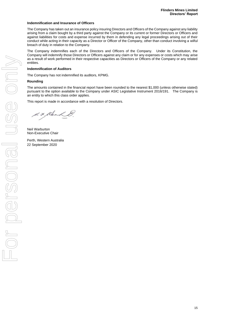# **Indemnification and Insurance of Officers**

The Company has taken out an insurance policy insuring Directors and Officers of the Company against any liability arising from a claim bought by a third party against the Company or its current or former Directors or Officers and against liabilities for costs and expense incurred by them in defending any legal proceedings arising out of their conduct while acting in their capacity as a Director or Officer of the Company, other than conduct involving a wilful breach of duty in relation to the Company.

The Company indemnifies each of the Directors and Officers of the Company. Under its Constitution, the Company will indemnify those Directors or Officers against any claim or for any expenses or costs which may arise as a result of work performed in their respective capacities as Directors or Officers of the Company or any related entities.

# **Indemnification of Auditors**

The Company has not indemnified its auditors, KPMG.

# **Rounding**

The amounts contained in the financial report have been rounded to the nearest \$1,000 (unless otherwise stated) pursuant to the option available to the Company under ASIC Legislative Instrument 2016/191. The Company is an entity to which this class order applies.

This report is made in accordance with a resolution of Directors.

d. F. Klerk

Neil Warburton Non-Executive Chair

Perth, Western Australia 22 September 2020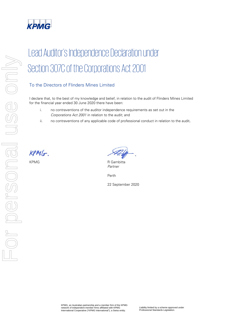

# Lead Auditor's Independence Declaration under Section 307C of the Corporations Act 2001

# To the Directors of Flinders Mines Limited

I declare that, to the best of my knowledge and belief, in relation to the audit of Flinders Mines Limited for the financial year ended 30 June 2020 there have been:

- i. no contraventions of the auditor independence requirements as set out in the Corporations Act 2001 in relation to the audit; and
- ii. no contraventions of any applicable code of professional conduct in relation to the audit.

 $KPMG$ .

KPMG R Gambitta Partner

Perth

22 September 2020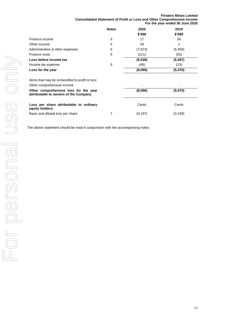# **Flinders Mines Limited Consolidated Statement of Profit or Loss and Other Comprehensive Income For the year ended 30 June 2020**

|                                 | <b>Notes</b> | 2020<br>\$'000 | 2019<br>\$'000 |
|---------------------------------|--------------|----------------|----------------|
| Finance income                  | 5            | 17             | 56             |
| Other income                    | 5            | 29             | 4              |
| Administrative & other expenses | 5            | (7, 873)       | (5, 459)       |
| Finance costs                   | 5            | (211)          | (55)           |
| Loss before income tax          |              | (8,038)        | (5, 457)       |
| Income tax expense              | 6            | (48)           | (13)           |
| Loss for the year               |              | (8,086)        | (5, 470)       |

| Items that may be reclassified to profit or loss:<br>Other comprehensive income<br>Other comprehensive loss for the year<br>attributable to owners of the Company |  | $\overline{\phantom{0}}$ | -       |
|-------------------------------------------------------------------------------------------------------------------------------------------------------------------|--|--------------------------|---------|
|                                                                                                                                                                   |  | (8,086)                  | (5,470) |
| Loss per share attributable to ordinary<br>equity holders:                                                                                                        |  | Cents                    | Cents   |
| Basic and diluted loss per share                                                                                                                                  |  | (0.197)                  | (0.159) |

The above statement should be read in conjunction with the accompanying notes.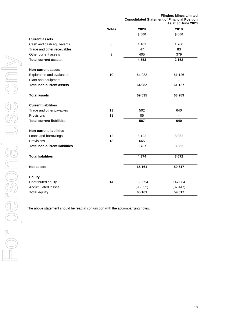|                                      | <b>Flinders Mines Limited</b><br><b>Consolidated Statement of Financial Position</b><br>As at 30 June 2020 |           |  |
|--------------------------------------|------------------------------------------------------------------------------------------------------------|-----------|--|
| <b>Notes</b>                         | 2020                                                                                                       | 2019      |  |
|                                      | \$'000                                                                                                     | \$'000    |  |
| <b>Current assets</b>                |                                                                                                            |           |  |
| 8<br>Cash and cash equivalents       | 4,101                                                                                                      | 1,700     |  |
| Trade and other receivables          | 47                                                                                                         | 83        |  |
| 9<br>Other current assets            | 405                                                                                                        | 379       |  |
| <b>Total current assets</b>          | 4,553                                                                                                      | 2,162     |  |
| <b>Non-current assets</b>            |                                                                                                            |           |  |
| 10<br>Exploration and evaluation     | 64,982                                                                                                     | 61,126    |  |
| Plant and equipment                  |                                                                                                            | 1         |  |
| <b>Total non-current assets</b>      | 64,982                                                                                                     | 61,127    |  |
| <b>Total assets</b>                  | 69,535                                                                                                     | 63,289    |  |
| <b>Current liabilities</b>           |                                                                                                            |           |  |
| 11<br>Trade and other payables       | 502                                                                                                        | 640       |  |
| 13<br>Provisions                     | 85                                                                                                         |           |  |
| <b>Total current liabilities</b>     | 587                                                                                                        | 640       |  |
| <b>Non-current liabilities</b>       |                                                                                                            |           |  |
| 12<br>Loans and borrowings           | 3,122                                                                                                      | 3,032     |  |
| Provisions<br>13                     | 665                                                                                                        |           |  |
| <b>Total non-current liabilities</b> | 3,787                                                                                                      | 3,032     |  |
| <b>Total liabilities</b>             | 4,374                                                                                                      | 3,672     |  |
| <b>Net assets</b>                    | 65,161                                                                                                     | 59,617    |  |
| <b>Equity</b>                        |                                                                                                            |           |  |
| Contributed equity<br>14             | 160,694                                                                                                    | 147,064   |  |
| <b>Accumulated losses</b>            | (95, 533)                                                                                                  | (87, 447) |  |
| <b>Total equity</b>                  | 65,161                                                                                                     | 59,617    |  |

The above statement should be read in conjunction with the accompanying notes.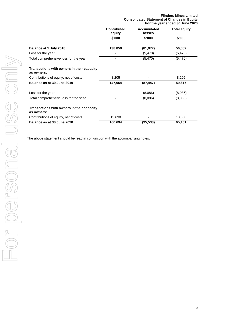|                                                          | <b>Consolidated Statement of Changes in Equity</b><br>For the year ended 30 June 2020 |                       |                     |
|----------------------------------------------------------|---------------------------------------------------------------------------------------|-----------------------|---------------------|
|                                                          | <b>Contributed</b><br>equity                                                          | Accumulated<br>losses | <b>Total equity</b> |
|                                                          | \$'000                                                                                | \$'000                | \$'000              |
| Balance at 1 July 2018                                   | 138,859                                                                               | (81, 977)             | 56,882              |
| Loss for the year                                        |                                                                                       | (5,470)               | (5,470)             |
| Total comprehensive loss for the year                    |                                                                                       | (5, 470)              | (5,470)             |
| Transactions with owners in their capacity<br>as owners: |                                                                                       |                       |                     |
| Contributions of equity, net of costs                    | 8,205                                                                                 |                       | 8,205               |
| Balance as at 30 June 2019                               | 147,064                                                                               | (87, 447)             | 59,617              |
| Loss for the year                                        |                                                                                       | (8,086)               | (8,086)             |
| Total comprehensive loss for the year                    | -                                                                                     | (8,086)               | (8,086)             |
| Transactions with owners in their capacity<br>as owners: |                                                                                       |                       |                     |
| Contributions of equity, net of costs                    | 13,630                                                                                |                       | 13,630              |
| Balance as at 30 June 2020                               | 160,694                                                                               | (95, 533)             | 65,161              |

The above statement should be read in conjunction with the accompanying notes.

**Flinders Mines Limited**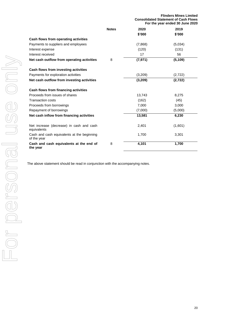|                                                           |              | <b>Flinders Mines Limited</b><br><b>Consolidated Statement of Cash Flows</b><br>For the year ended 30 June 2020 |          |
|-----------------------------------------------------------|--------------|-----------------------------------------------------------------------------------------------------------------|----------|
|                                                           | <b>Notes</b> | 2020                                                                                                            | 2019     |
|                                                           |              | \$'000                                                                                                          | \$'000   |
| Cash flows from operating activities                      |              |                                                                                                                 |          |
| Payments to suppliers and employees                       |              | (7,868)                                                                                                         | (5,034)  |
| Interest expense                                          |              | (120)                                                                                                           | (131)    |
| Interest received                                         |              | 17                                                                                                              | 56       |
| Net cash outflow from operating activities                | 8            | (7, 971)                                                                                                        | (5, 109) |
| Cash flows from investing activities                      |              |                                                                                                                 |          |
| Payments for exploration activities                       |              | (3,209)                                                                                                         | (2,722)  |
| Net cash outflow from investing activities                |              | (3,209)                                                                                                         | (2, 722) |
| Cash flows from financing activities                      |              |                                                                                                                 |          |
| Proceeds from issues of shares                            |              | 13,743                                                                                                          | 8,275    |
| <b>Transaction costs</b>                                  |              | (162)                                                                                                           | (45)     |
| Proceeds from borrowings                                  |              | 7,000                                                                                                           | 3,000    |
| Repayment of borrowings                                   |              | (7,000)                                                                                                         | (5,000)  |
| Net cash inflow from financing activities                 |              | 13,581                                                                                                          | 6,230    |
| Net increase (decrease) in cash and cash<br>equivalents   |              | 2,401                                                                                                           | (1,601)  |
| Cash and cash equivalents at the beginning<br>of the year |              | 1,700                                                                                                           | 3,301    |
| Cash and cash equivalents at the end of<br>the year       | 8            | 4,101                                                                                                           | 1,700    |

The above statement should be read in conjunction with the accompanying notes.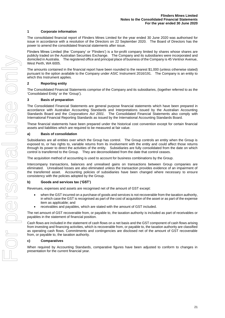# **1 Corporate information**

The consolidated financial report of Flinders Mines Limited for the year ended 30 June 2020 was authorised for issue in accordance with a resolution of the Directors on 22 September 2020. The Board of Directors has the power to amend the consolidated financial statements after issue.

Flinders Mines Limited (the 'Company' or 'Flinders') is a for-profit company limited by shares whose shares are publicly traded on the Australian Securities Exchange. The Company and its subsidiaries were incorporated and domiciled in Australia. The registered office and principal place of business of the Company is 45 Ventnor Avenue, West Perth, WA 6005.

The amounts contained in the financial report have been rounded to the nearest \$1,000 (unless otherwise stated) pursuant to the option available to the Company under ASIC Instrument 2016/191. The Company is an entity to which this Instrument applies.

# **2 Reporting entity**

The Consolidated Financial Statements comprise of the Company and its subsidiaries, (together referred to as the 'Consolidated Entity' or the 'Group').

# **3 Basis of preparation**

The Consolidated Financial Statements are general purpose financial statements which have been prepared in accordance with Australian Accounting Standards and Interpretations issued by the Australian Accounting Standards Board and the *Corporations Act 2001*. The Consolidated Financial Statements also comply with International Financial Reporting Standards as issued by the International Accounting Standards Board.

These financial statements have been prepared under the historical cost convention except for certain financial assets and liabilities which are required to be measured at fair value.

# **a) Basis of consolidation**

Subsidiaries are all entities over which the Group has control. The Group controls an entity when the Group is exposed to, or has rights to, variable returns from its involvement with the entity and could affect those returns through its power to direct the activities of the entity. Subsidiaries are fully consolidated from the date on which control is transferred to the Group. They are deconsolidated from the date that control ceases.

The acquisition method of accounting is used to account for business combinations by the Group.

Intercompany transactions, balances and unrealised gains on transactions between Group companies are eliminated. Unrealised losses are also eliminated unless the transaction provides evidence of an impairment of the transferred asset. Accounting policies of subsidiaries have been changed where necessary to ensure consistency with the policies adopted by the Group.

# **b) Goods and services tax ('GST')**

Revenues, expenses and assets are recognised net of the amount of GST except:

- when the GST incurred on a purchase of goods and services is not recoverable from the taxation authority, in which case the GST is recognised as part of the cost of acquisition of the asset or as part of the expense item as applicable; and
- receivables and payables, which are stated with the amount of GST included.

The net amount of GST recoverable from, or payable to, the taxation authority is included as part of receivables or payables in the statement of financial position.

Cash flows are included in the statement of cash flows on a net basis and the GST component of cash flows arising from investing and financing activities, which is recoverable from, or payable to, the taxation authority are classified as operating cash flows. Commitments and contingencies are disclosed net of the amount of GST recoverable from, or payable to, the taxation authority.

# **c) Comparatives**

When required by Accounting Standards, comparative figures have been adjusted to conform to changes in presentation for the current financial year.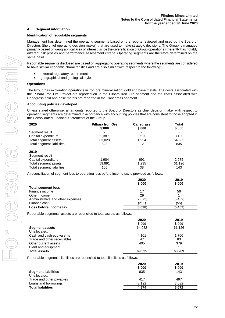# **4 Segment information**

# **Identification of reportable segments**

Management has determined the operating segments based on the reports reviewed and used by the Board of Directors (the chief operating decision maker) that are used to make strategic decisions. The Group is managed primarily based on geographical area of interest, since the diversification of Group operations inherently has notably different risk profiles and performance assessment criteria. Operating segments are therefore determined on the same basis.

Reportable segments disclosed are based on aggregating operating segments where the segments are considered to have similar economic characteristics and are also similar with respect to the following:

- external regulatory requirements
- geographical and geological styles

# **Operations**

The Group has exploration operations in iron ore mineralisation, gold and base metals. The costs associated with the Pilbara Iron Ore Project are reported on in the Pilbara Iron Ore segment and the costs associated with Canegrass gold and base metals are reported in the Canegrass segment.

# **Accounting policies developed**

Unless stated otherwise, all amounts reported to the Board of Directors as chief decision maker with respect to operating segments are determined in accordance with accounting policies that are consistent to those adopted in the Consolidated Financial Statements of the Group.

| 2020                      | <b>Pilbara Iron Ore</b><br>\$'000 | <b>Canegrass</b><br>\$'000 | Total<br>\$'000 |
|---------------------------|-----------------------------------|----------------------------|-----------------|
| Segment result            |                                   |                            |                 |
| Capital expenditure       | 2,387                             | 719                        | 3,106           |
| Total segment assets      | 63,028                            | 1.954                      | 64,982          |
| Total segment liabilities | 823                               | 12                         | 835             |
| 2019                      |                                   |                            |                 |
| Segment result            |                                   | ۰                          |                 |
| Capital expenditure       | 1.984                             | 691                        | 2,675           |
| Total segment assets      | 59,891                            | 1,235                      | 61,126          |
| Total segment liabilities | 105                               | 38                         | 143             |

A reconciliation of segment loss to operating loss before income tax is provided as follows:

|                                   | 2020                     | 2019     |
|-----------------------------------|--------------------------|----------|
|                                   | \$'000                   | \$'000   |
| <b>Total segment loss</b>         | $\overline{\phantom{0}}$ | ۰        |
| Finance income                    | 17                       | 56       |
| Other income                      | 29                       |          |
| Administrative and other expenses | (7, 873)                 | (5, 459) |
| Finance cost                      | (211)                    | (55)     |
| Loss before income tax            | (8,038)                  | (5, 457) |

Reportable segments' assets are reconciled to total assets as follows:

|                             | 2020<br>\$'000 | 2019<br>\$'000 |
|-----------------------------|----------------|----------------|
| <b>Segment assets</b>       | 64.982         | 61,126         |
| Unallocated:                |                |                |
| Cash and cash equivalents   | 4,101          | 1.700          |
| Trade and other receivables | 47             | 83             |
| Other current assets        | 405            | 379            |
| Plant and equipment         | -              |                |
| <b>Total assets</b>         | 69,535         | 63,289         |

Reportable segments' liabilities are reconciled to total liabilities as follows:

|                            | 2020<br>\$'000 | 2019<br>\$'000 |
|----------------------------|----------------|----------------|
| <b>Segment liabilities</b> | 835            | 143            |
| Unallocated:               |                |                |
| Trade and other payables   | 417            | 497            |
| Loans and borrowings       | 3.122          | 3.032          |
| <b>Total liabilities</b>   | 4.374          | 3.672          |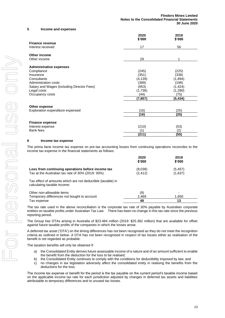#### **5 Income and expenses**

|                                            | 2020<br>\$'000 | 2019<br>\$'000 |
|--------------------------------------------|----------------|----------------|
| <b>Finance revenue</b>                     |                |                |
| Interest received                          | 17             | 56             |
| Other income                               |                |                |
| Other income                               | 29             | 1              |
| <b>Administrative expenses</b>             |                |                |
| Compliance                                 | (245)          | (225)          |
| Insurance                                  | (351)          | (338)          |
| Consultants                                | (4, 139)       | (1,894)        |
| Administration costs                       | (389)          | (198)          |
| Salary and Wages (including Director Fees) | (953)          | (1, 424)       |
| Legal costs                                | (1,736)        | (1,280)        |
| Occupancy costs                            | (44)           | (75)           |
|                                            | (7,857)        | (5, 434)       |
| Other expense                              |                |                |
| Exploration expenditure expensed           | (16)           | (25)           |
|                                            | (16)           | (25)           |
| <b>Finance expense</b>                     |                |                |
| Interest expense                           | (210)          | (53)           |
| Bank fees                                  | (1)            | (2)            |
|                                            | (211)          | (55)           |

#### **6 Income tax expense**

The prima facie income tax expense on pre-tax accounting losses from continuing operations reconciles to the income tax expense in the financial statements as follows:

|                                                   | 2020<br>\$'000 | 2019<br>\$'000 |
|---------------------------------------------------|----------------|----------------|
| Loss from continuing operations before income tax | (8,038)        | (5, 457)       |
| Tax at the Australian tax rate of 30% (2019: 30%) | (2.412)        | (1,637)        |

Tax effect of amounts which are not deductible (taxable) in calculating taxable income:

| Other non-allowable items                   | (9)   |       |
|---------------------------------------------|-------|-------|
| Temporary differences not bought to account | 2.469 | 1.650 |
| Tax expense                                 | 48    |       |

The tax rate used in the above reconciliation is the corporate tax rate of 30% payable by Australian corporate entities on taxable profits under Australian Tax Law. There has been no change in this tax rate since the previous reporting period.

The Group has DTAs arising in Australia of \$23.484 million (2019: \$25.382 million) that are available for offset against future taxable profits of the companies in which the losses arose.

A deferred tax asset ('DTA') on the timing differences has not been recognised as they do not meet the recognition criteria as outlined in below. A DTA has not been recognised in respect of tax losses either as realisation of the benefit is not regarded as probable.

The taxation benefits will only be obtained if:

- a) the Consolidated Entity derives future assessable income of a nature and of an amount sufficient to enable the benefit from the deduction for the loss to be realised;
- b) the Consolidated Entity continues to comply with the conditions for deductibility imposed by law; and
- c) no changes in tax legislation adversely affect the consolidated entity in realising the benefits from the deductions for the loss.

The income tax expense or benefit for the period is the tax payable on the current period's taxable income based on the applicable income tax rate for each jurisdiction adjusted by changes in deferred tax assets and liabilities attributable to temporary differences and to unused tax losses.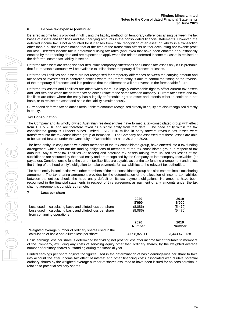# **6 Income tax expense (continued)**

Deferred income tax is provided in full, using the liability method, on temporary differences arising between the tax bases of assets and liabilities and their carrying amounts in the consolidated financial statements. However, the deferred income tax is not accounted for if it arises from initial recognition of an asset or liability in a transaction other than a business combination that at the time of the transaction affects neither accounting nor taxable profit nor loss. Deferred income tax is determined using tax rates (and laws) that have been enacted or substantially enacted by the reporting date and are expected to apply when the related deferred income tax asset is realised or the deferred income tax liability is settled.

Deferred tax assets are recognised for deductible temporary differences and unused tax losses only if it is probable that future taxable amounts will be available to utilise those temporary differences or losses.

Deferred tax liabilities and assets are not recognised for temporary differences between the carrying amount and tax bases of investments in controlled entities where the Parent entity is able to control the timing of the reversal of the temporary differences and it is probable that the differences will not reverse in the foreseeable future.

Deferred tax assets and liabilities are offset when there is a legally enforceable right to offset current tax assets and liabilities and when the deferred tax balances relate to the same taxation authority. Current tax assets and tax liabilities are offset where the entity has a legally enforceable right to offset and intends either to settle on a net basis, or to realise the asset and settle the liability simultaneously.

Current and deferred tax balances attributable to amounts recognised directly in equity are also recognised directly in equity.

# **Tax Consolidation**

The Company and its wholly owned Australian resident entities have formed a tax-consolidated group with effect from 1 July 2018 and are therefore taxed as a single entity from that date. The head entity within the tax consolidated group is Flinders Mines Limited. \$120.510 million in carry forward revenue tax losses were transferred into the tax-consolidated group at formation. The Company has assessed that these losses are able to be carried forward under the Continuity of Ownership test as at 30 June 2020.

The head entity, in conjunction with other members of the tax-consolidated group, have entered into a tax funding arrangement which sets out the funding obligations of members of the tax-consolidated group in respect of tax amounts. Any current tax liabilities (or assets) and deferred tax assets arising from unused tax losses of the subsidiaries are assumed by the head entity and are recognised by the Company as intercompany receivables (or payables). Contributions to fund the current tax liabilities are payable as per the tax funding arrangement and reflect the timing of the head entity's obligation to make payments for tax liabilities to the relevant tax authorities.

The head entity in conjunction with other members of the tax-consolidated group has also entered into a tax sharing agreement. The tax sharing agreement provides for the determination of the allocation of income tax liabilities between the entities should the head entity default on its tax payment obligations. No amounts have been recognised in the financial statements in respect of this agreement as payment of any amounts under the tax sharing agreement is considered remote.

# **7 Loss per share**

| Loss used in calculating basic and diluted loss per share<br>Loss used in calculating basic and diluted loss per share<br>from continuing operations | 2020<br>\$'000<br>(8.086)<br>(8.086) | 2019<br>\$'000<br>(5, 470)<br>(5,470) |
|------------------------------------------------------------------------------------------------------------------------------------------------------|--------------------------------------|---------------------------------------|
|                                                                                                                                                      | 2020<br><b>Number</b>                | 2019<br><b>Number</b>                 |
| Weighted average number of ordinary shares used in the<br>calculation of basic and diluted loss per share                                            | 4,098,827,112                        | 3.443.478.128                         |

Basic earnings/loss per share is determined by dividing net profit or loss after income tax attributable to members of the Company, excluding any costs of servicing equity other than ordinary shares, by the weighted average number of ordinary shares outstanding during the financial year.

Diluted earnings per share adjusts the figures used in the determination of basic earnings/loss per share to take into account the after income tax effect of interest and other financing costs associated with dilutive potential ordinary shares by the weighted average number of shares assumed to have been issued for no consideration in relation to potential ordinary shares.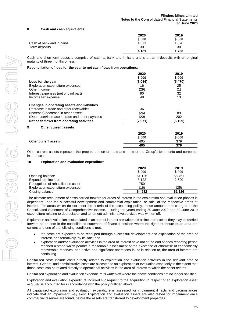# **8 Cash and cash equivalents**

|                          | 2020   | 2019   |
|--------------------------|--------|--------|
|                          | \$'000 | \$'000 |
| Cash at bank and in hand | 4.071  | 1.670  |
| Term deposits            | 30     | 30     |
|                          | 4,101  | 1.700  |

Cash and short-term deposits comprise of cash at bank and in hand and short-term deposits with an original maturity of three months or less.

#### **Reconciliation of loss for the year to net cash flows from operations:**

|                                                    | 2020<br>\$'000 | 2019<br>\$'000 |
|----------------------------------------------------|----------------|----------------|
| Loss for the year                                  | (8,086)        | (5, 470)       |
| Exploration expenditure expensed                   | 16             | 25             |
| Other income                                       | (29)           | (1)            |
| Interest expenses (net of paid part)               | 90             | 32             |
| Income tax expense                                 | 48             | 13             |
| <b>Changes in operating assets and liabilities</b> |                |                |
| Decrease in trade and other receivables            | 36             |                |
| (Increase)/decrease in other assets                | (26)           | 89             |
| (Decrease)/increase in trade and other payables    | (20)           | 202            |
| Net cash flows from operating activities           | (7, 971)       | (5, 109)       |
| 9<br>Other current assets                          |                |                |
|                                                    | 2020           | 2019           |
|                                                    | \$'000         | \$'000         |
| Other current assets                               | 405            | 379            |
|                                                    | 405            | 379            |

Other current assets represent the prepaid portion of rates and rents of the Group's tenements and corporate insurances.

# **10 Exploration and evaluation expenditure**

|                                     | 2020   | 2019   |
|-------------------------------------|--------|--------|
|                                     | \$'000 | \$'000 |
| Opening balance                     | 61.126 | 58.461 |
| Expenditure incurred                | 3.122  | 2,690  |
| Recognition of rehabilitation asset | 750    |        |
| Exploration expenditure expensed    | (16)   | (25)   |
| Closing balance                     | 64.982 | 61.126 |

The ultimate recoupment of costs carried forward for areas of interest in the exploration and evaluation phases is dependent upon the successful development and commercial exploitation, or sale, of the respective areas of interest. For areas which do not meet the criteria of the accounting policy, those amounts are charged to the Consolidated Statement of Comprehensive Income. During the years ending 30 June 2020 and 30 June 2019 expenditure relating to depreciation and tenement administrative services was written off.

Exploration and evaluation costs related to an area of interest are written off as incurred except they may be carried forward as an item in the consolidated statement of financial position where the rights of tenure of an area are current and one of the following conditions is met:

- the costs are expected to be recouped through successful development and exploitation of the area of interest, or alternatively, by its sale; and
- exploration and/or evaluation activities in the area of interest have not at the end of each reporting period reached a stage which permits a reasonable assessment of the existence or otherwise of economically recoverable reserves, and active and significant operations in, or in relation to, the area of interest are continuing.

Capitalised costs include costs directly related to exploration and evaluation activities in the relevant area of interest. General and administrative costs are allocated to an exploration or evaluation asset only to the extent that those costs can be related directly to operational activities in the area of interest to which the asset relates.

Capitalised exploration and evaluation expenditure is written off where the above conditions are no longer satisfied.

Exploration and evaluation expenditure incurred subsequent to the acquisition in respect of an exploration asset acquired is accounted for in accordance with the policy outlined above.

All capitalised exploration and evaluation expenditure is assessed for impairment if facts and circumstances indicate that an impairment may exist. Exploration and evaluation assets are also tested for impairment once commercial reserves are found, before the assets are transferred to development properties.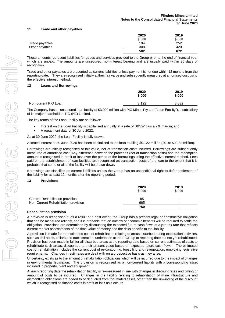# **11 Trade and other payables**

|                | 2020   | 2019   |
|----------------|--------|--------|
|                | \$'000 | \$'000 |
| Trade payables | 194    | 252    |
| Other payables | 308    | 420    |
|                | 502    | 672    |

These amounts represent liabilities for goods and services provided to the Group prior to the end of financial year which are unpaid. The amounts are unsecured, non-interest bearing and are usually paid within 30 days of recognition.

Trade and other payables are presented as current liabilities unless payment is not due within 12 months from the reporting date. They are recognised initially at their fair value and subsequently measured at amortised cost using the effective interest method.

# **12 Loans and Borrowings**

|                      | 2020<br>\$'000 | 2019<br>\$'000 |  |
|----------------------|----------------|----------------|--|
| Non-current PIO Loan | 3,122          | 3,032          |  |

The Company has an unsecured loan facility of \$3.000 million with PIO Mines Pty Ltd ("Loan Facility"), a subsidiary of its major shareholder, TIO (NZ) Limited.

The key terms of the Loan Facility are as follows:

- Interest on the Loan Facility is capitalised annually at a rate of BBSW plus a 2% margin; and
- A repayment date of 30 June 2022.
- As at 30 June 2020, the Loan Facility is fully drawn.

Accrued interest at 30 June 2020 has been capitalised to the loan totalling \$0.122 million (2019: \$0.032 million).

Borrowings are initially recognised at fair value, net of transaction costs incurred. Borrowings are subsequently measured at amortised cost. Any difference between the proceeds (net of transaction costs) and the redemption amount is recognised in profit or loss over the period of the borrowings using the effective interest method. Fees paid on the establishment of loan facilities are recognised as transaction costs of the loan to the extent that it is probable that some or all of the facility will be drawn down.

Borrowings are classified as current liabilities unless the Group has an unconditional right to defer settlement of the liability for at least 12 months after the reporting period.

# **13 Provisions**

|                                         | 2020<br>\$'000 | 2019<br>\$'000 |
|-----------------------------------------|----------------|----------------|
| <b>Current Rehabilitation provision</b> | 85             | -              |
| Non-Current Rehabilitation provision    | 665            | -              |
|                                         | 750            |                |

# **Rehabilitation provision**

A provision is recognised if, as a result of a past event, the Group has a present legal or constructive obligation that can be measured reliably, and it is probable that an outflow of economic benefits will be required to settle the obligation. Provisions are determined by discounting the expected future cash flows at a pre-tax rate that reflects current market assessments of the time value of money and the risks specific to the liability.

A provision is made for the estimated cost of rehabilitation relating to areas disturbed during exploration activities, such as drill holes, collars and track creation, undertaken at the PIOP up to reporting date but not yet rehabilitated. Provision has been made in full for all disturbed areas at the reporting date based on current estimates of costs to rehabilitate such areas, discounted to their present value based on expected future cash flows. The estimated cost of rehabilitation includes the current cost of re-contouring, topsoiling and revegetation, employing legislative requirements. Changes in estimates are dealt with on a prospective basis as they arise.

Uncertainty exists as to the amount of rehabilitation obligations which will be incurred due to the impact of changes in environmental legislation. The provision is recognised as a non-current liability with a corresponding asset included in property, plant and equipment.

At each reporting date the rehabilitation liability is re-measured in line with changes in discount rates and timing or amount of costs to be incurred. Changes in the liability relating to rehabilitation of mine infrastructure and dismantling obligations are added to or deducted from the related asset, other than the unwinding of the discount which is recognised as finance costs in profit or loss as it occurs.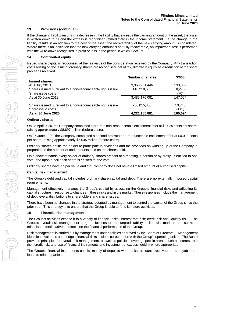# **13 Provisions (continued)**

If the change in liability results in a decrease in the liability that exceeds the carrying amount of the asset, the asset is written down to nil and the excess is recognised immediately in the income statement. If the change in the liability results in an addition to the cost of the asset, the recoverability of the new carrying amount is considered. Where there is an indication that the new carrying amount is not fully recoverable, an impairment test is performed with the write-down recognised in profit or loss in the period in which it occurs.

# **14 Contributed equity**

Issued share capital is recognised at the fair value of the consideration received by the Company. Any transaction costs arising on the issue of ordinary shares are recognised, net of tax, directly in equity as a reduction of the share proceeds received.

|                                                           | <b>Number of shares</b> | \$'000  |
|-----------------------------------------------------------|-------------------------|---------|
| <b>Issued shares:</b>                                     |                         |         |
| At 1 July 2018                                            | 3,366,951,446           | 138,859 |
| Shares issued pursuant to a non-renounceable rights issue | 118,218,635             | 8,275   |
| Share issue costs                                         |                         | (70)    |
| As at 30 June 2019                                        | 3,485,170,081           | 147.064 |
| Shares issued pursuant to a non-renounceable rights issue | 736,015,800             | 13,743  |
| Share issue costs                                         |                         | (113)   |
| As at 30 June 2020                                        | 4,221,185,881           | 160,694 |

# **Ordinary shares**

On 28 April 2020, the Company completed a pro-rata non-renounceable entitlement offer at \$0.025 cents per share, raising approximately \$8.697 million (before costs).

On 25 June 2020, the Company completed a second pro-rata non-renounceable entitlement offer at \$0.013 cents per share, raising approximately \$5.045 million (before costs).

Ordinary shares entitle the holder to participate in dividends and the proceeds on winding up of the Company in proportion to the number of and amounts paid on the shares held.

On a show of hands every holder of ordinary shares present at a meeting in person or by proxy, is entitled to one vote, and upon a poll each share is entitled to one vote.

Ordinary shares have no par value and the Company does not have a limited amount of authorised capital.

# **Capital risk management**

The Group's debt and capital includes ordinary share capital and debt. There are no externally imposed capital requirements.

Management effectively manages the Group's capital by assessing the Group's financial risks and adjusting its capital structure in response to changes in these risks and in the market. These responses include the management of debt levels, distributions to shareholders and share issues.

There have been no changes in the strategy adopted by management to control the capital of the Group since the prior year. This strategy is to ensure that the Group is able to fund its future activities.

# **15 Financial risk management**

The Group's activities expose it to a variety of financial risks: interest rate risk; credit risk and liquidity risk. The Group's overall risk management program focuses on the unpredictability of financial markets and seeks to minimise potential adverse effects on the financial performance of the Group.

Risk management is carried out by management under policies approved by the Board of Directors. Management identifies, evaluates and hedges financial risks in close co-operation with the Group's operating units. The Board provides principles for overall risk management, as well as policies covering specific areas, such as interest rate risk, credit risk, and use of financial instruments and investment of excess liquidity where appropriate.

The Group's financial instruments consist mainly of deposits with banks, accounts receivable and payable and loans to related parties.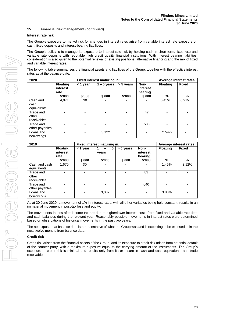# **15 Financial risk management (continued)**

# **Interest rate risk**

The Group's exposure to market risk for changes in interest rates arise from variable interest rate exposure on cash, fixed deposits and interest-bearing liabilities.

The Group's policy is to manage its exposure to interest rate risk by holding cash in short-term, fixed rate and variable rate deposits with reputable high credit quality financial institutions. With interest bearing liabilities, consideration is also given to the potential renewal of existing positions, alternative financing and the mix of fixed and variable interest rates.

The following table summarises the financial assets and liabilities of the Group, together with the effective interest rates as at the balance date.

| 2020                              |                                     | Fixed interest maturing in: |               |           |                             | Average interest rates |              |
|-----------------------------------|-------------------------------------|-----------------------------|---------------|-----------|-----------------------------|------------------------|--------------|
|                                   | <b>Floating</b><br>interest<br>rate | $<$ 1 year                  | $1 - 5$ years | > 5 years | Non-<br>interest<br>bearing | <b>Floating</b>        | <b>Fixed</b> |
|                                   | \$'000                              | \$'000                      | \$'000        | \$'000    | \$'000                      | %                      | %            |
| Cash and<br>cash<br>equivalents   | 4,071                               | 30                          |               |           |                             | 0.45%                  | 0.91%        |
| Trade and<br>other<br>receivables |                                     |                             |               |           | 47                          |                        |              |
| Trade and<br>other payables       |                                     |                             |               |           | 503                         |                        |              |
| Loans and<br>borrowings           |                                     |                             | 3,122         |           |                             | 2.54%                  |              |

| 2019                              |                                     |          | Fixed interest maturing in: |           |                             | Average interest rates |              |
|-----------------------------------|-------------------------------------|----------|-----------------------------|-----------|-----------------------------|------------------------|--------------|
|                                   | <b>Floating</b><br>interest<br>rate | < 1 year | 5<br>years                  | > 5 years | Non-<br>interest<br>bearing | <b>Floating</b>        | <b>Fixed</b> |
|                                   | \$'000                              | \$'000   | \$'000                      | \$'000    | \$'000                      | %                      | %            |
| Cash and cash<br>equivalents      | 1,670                               | 30       |                             |           |                             | 1.45%                  | 2.12%        |
| Trade and<br>other<br>receivables |                                     |          |                             |           | 83                          |                        |              |
| Trade and<br>other payables       |                                     |          |                             |           | 640                         |                        |              |
| Loans and<br>borrowings           |                                     |          | 3,032                       |           |                             | 3.88%                  |              |

As at 30 June 2020, a movement of 1% in interest rates, with all other variables being held constant, results in an immaterial movement in post-tax loss and equity.

The movements in loss after income tax are due to higher/lower interest costs from fixed and variable rate debt and cash balances during the relevant year. Reasonably possible movements in interest rates were determined based on observations of historical movements in the past two years.

The net exposure at balance date is representative of what the Group was and is expecting to be exposed to in the next twelve months from balance date.

# **Credit risk**

Credit risk arises from the financial assets of the Group, and its exposure to credit risk arises from potential default of the counter party, with a maximum exposure equal to the carrying amount of the instruments. The Group's exposure to credit risk is minimal and results only from its exposure in cash and cash equivalents and trade receivables.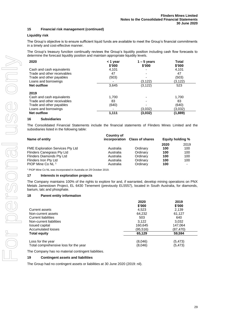# **Liquidity risk**

The Group's objective is to ensure sufficient liquid funds are available to meet the Group's financial commitments in a timely and cost-effective manner.

The Group's treasury function continually reviews the Group's liquidity position including cash flow forecasts to determine the forecast liquidity position and maintain appropriate liquidity levels.

| 2020                        | < 1 year<br>\$'000 | $1 - 5$ years<br>\$'000 | Total<br>\$'000 |
|-----------------------------|--------------------|-------------------------|-----------------|
| Cash and cash equivalents   | 4,101              |                         | 4,101           |
| Trade and other receivables | 47                 |                         | 47              |
| Trade and other payables    | (503)              |                         | (503)           |
| Loans and borrowings        |                    | (3, 122)                | (3, 122)        |
| <b>Net outflow</b>          | 3,645              | (3, 122)                | 523             |
| 2019                        |                    |                         |                 |
| Cash and cash equivalents   | 1.700              |                         | 1.700           |
| Trade and other receivables | 83                 |                         | 83              |
| Trade and other payables    | (640)              |                         | (640)           |
| Loans and borrowings        |                    | (3,032)                 | (3,032)         |
| <b>Net outflow</b>          | 1,111              | (3,032)                 | (1,889)         |

# **16 Subsidiaries**

The Consolidated Financial Statements include the financial statements of Flinders Mines Limited and the subsidiaries listed in the following table:

| Name of entity                          | Country of | incorporation Class of shares | <b>Equity holding %</b> |      |
|-----------------------------------------|------------|-------------------------------|-------------------------|------|
|                                         |            |                               | 2020                    | 2019 |
| <b>FME Exploration Services Pty Ltd</b> | Australia  | Ordinary                      | 100                     | 100  |
| Flinders Canegrass Pty Ltd              | Australia  | Ordinary                      | 100                     | 100  |
| Flinders Diamonds Pty Ltd               | Australia  | Ordinary                      | 100                     | 100  |
| Flinders Iron Pty Ltd                   | Australia  | Ordinary                      | 100                     | 100  |
| PIOP Mine Co NL <sup>1</sup>            | Australia  | Ordinary                      | 100                     | ۰.   |

<sup>1</sup> PIOP Mine Co NL was incorporated in Australia on 29 October 2019.

# **17 Interests in exploration projects**

The Company maintains 100% of the rights to explore for and, if warranted, develop mining operations on PNX Metals Jamestown Project, EL 6430 Tenement (previously EL5557), located in South Australia, for diamonds, barium, talc and phosphate.

# **18 Parent entity information**

|                                       | 2020<br>\$'000 | 2019<br>\$'000 |
|---------------------------------------|----------------|----------------|
| <b>Current assets</b>                 | 4,523          | 2,139          |
| Non-current assets                    | 64,232         | 61,127         |
| <b>Current liabilities</b>            | 503            | 640            |
| Non-current liabilities               | 3.122          | 3.032          |
| <b>Issued capital</b>                 | 160,645        | 147,064        |
| Accumulated losses                    | (95,516)       | (87,470)       |
| <b>Total equity</b>                   | 65,129         | 59,594         |
| Loss for the year                     | (8,046)        | (5, 473)       |
| Total comprehensive loss for the year | (8,046)        | (5, 473)       |

The Company has no material contingent liabilities.

# **19 Contingent assets and liabilities**

The Group had no contingent assets or liabilities at 30 June 2020 (2019: nil).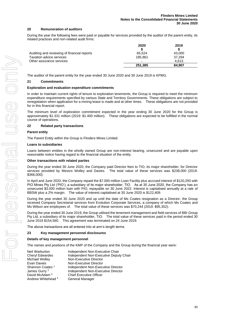# **20 Remuneration of auditors**

During the year the following fees were paid or payable for services provided by the auditor of the parent entity, its related practices and non-related audit firms:

|                                             | 2020    | 2019   |
|---------------------------------------------|---------|--------|
|                                             |         |        |
| Auditing and reviewing of financial reports | 65.524  | 43,000 |
| Taxation advice services                    | 185.861 | 37.294 |
| Other assurance services                    |         | 4.613  |
|                                             | 251,385 | 84.907 |

The auditor of the parent entity for the year ended 30 June 2020 and 30 June 2019 is KPMG.

# **21 Commitments**

# **Exploration and evaluation expenditure commitments**

In order to maintain current rights of tenure to exploration tenements, the Group is required to meet the minimum expenditure requirements specified by various State and Territory Governments. These obligations are subject to renegotiation when application for a mining lease is made and at other times. These obligations are not provided for in this financial report.

The minimum level of exploration commitment expected in the year ending 30 June 2020 for the Group is approximately \$1.331 million (2019: \$1.400 million). These obligations are expected to be fulfilled in the normal course of operations.

# **22 Related party transactions**

# **Parent entity**

The Parent Entity within the Group is Flinders Mines Limited.

#### **Loans to subsidiaries**

Loans between entities in the wholly owned Group are non-interest bearing, unsecured and are payable upon reasonable notice having regard to the financial situation of the entity.

#### **Other transactions with related parties**

During the year ended 30 June 2020, the Company paid Director fees to TIO, its major shareholder, for Director services provided by Messrs Wolley and Davies. The total value of these services was \$238,000 (2019: \$366,000).

In April and June 2020, the Company repaid the \$7.000 million Loan Facility plus accrued interest of \$120,293 with PIO Mines Pty Ltd ('PIO'), a subsidiary of its major shareholder, TIO. As at 30 June 2020, the Company has an unsecured \$3.000 million loan with PIO, repayable on 30 June 2022. Interest is capitalised annually at a rate of BBSW plus a 2% margin. The value of interest capitalised at 30 June 2020 is \$122,409.

During the year ended 30 June 2020 and up until the date of Ms Coates resignation as a Director, the Group received Company Secretarial services from Evolution Corporate Services, a company of which Ms Coates and Ms Wilson are employees of. The total value of these services was \$70,244 (2019: \$95,352).

During the year ended 30 June 2019, the Group utilised the tenement management and field services of BBI Group Pty Ltd, a subsidiary of its major shareholder, TIO. The total value of these services paid in the period ended 30 June 2019 \$154,560. This agreement was terminated on 24 June 2019.

The above transactions are all entered into at arm's length terms.

# **23 Key management personnel disclosures**

# **Details of key management personnel**

The names and positions of the KMP of the Company and the Group during the financial year were:

| Independent Non-Executive Chair        |
|----------------------------------------|
| Independent Non-Executive Deputy Chair |
| Non-Executive Director                 |
| Non-Executive Director                 |
| Independent Non-Executive Director     |
| Independent Non-Executive Director     |
| <b>Chief Executive Officer</b>         |
| General Manager                        |
|                                        |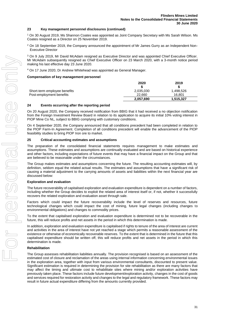# **23 Key management personnel disclosures (continued)**

<sup>1</sup> On 30 August 2019, Ms Shannon Coates was appointed as Joint Company Secretary with Ms Sarah Wilson. Ms Coates resigned as a Director on 25 November 2019.

<sup>2</sup> On 18 September 2019, the Company announced the appointment of Mr James Gurry as an Independent Non-Executive Director

<sup>3</sup> On 9 July 2019, Mr David McAdam resigned as Executive Director and was appointed Chief Executive Officer. Mr McAdam subsequently resigned as Chief Executive Officer on 23 March 2020, with a 3-month notice period making his last effective day 23 June 2020.

<sup>4</sup> On 17 June 2020, Dr Andrew Whitehead was appointed as General Manager.

# **Compensation of key management personnel**

|                              | 2020      | 2019      |
|------------------------------|-----------|-----------|
|                              |           |           |
| Short-term employee benefits | 2,035,030 | 1,498,526 |
| Post-employment benefits     | 22,660    | 16.801    |
|                              | 2.057.690 | 1.515.327 |

# **24 Events occurring after the reporting period**

On 20 August 2020, the Company received notification from BBIG that it had received a no objection notification from the Foreign Investment Review Board in relation to its application to acquire its initial 10% voting interest in PIOP Mine Co NL, subject to BBIG complying with customary conditions.

On 4 September 2020, the Company announced that all conditions precedent had been completed in relation to the PIOP Farm-In Agreement. Completion of all conditions precedent will enable the advancement of the PIOP feasibility studies to bring PIOP Iron ore to market.

# **25 Critical accounting estimates and assumptions**

The preparation of the consolidated financial statements requires management to make estimates and assumptions. These estimates and assumptions are continually evaluated and are based on historical experience and other factors, including expectations of future events that may have a financial impact on the Group and that are believed to be reasonable under the circumstances.

The Group makes estimates and assumptions concerning the future. The resulting accounting estimates will, by definition, seldom equal the related actual results. The estimates and assumptions that have a significant risk of causing a material adjustment to the carrying amounts of assets and liabilities within the next financial year are discussed below:

# **Exploration and evaluation**

The future recoverability of capitalised exploration and evaluation expenditure is dependent on a number of factors, including whether the Group decides to exploit the related area of interest itself or, if not, whether it successfully recovers the related exploration and evaluation asset through sale.

Factors which could impact the future recoverability include the level of reserves and resources, future technological changes which could impact the cost of mining, future legal changes (including changes to environmental obligations) and changes to commodity prices.

To the extent that capitalised exploration and evaluation expenditure is determined not to be recoverable in the future, this will reduce profits and net assets in the period in which this determination is made.

In addition, exploration and evaluation expenditure is capitalised if rights to tenure of the area of interest are current and activities in the area of interest have not yet reached a stage which permits a reasonable assessment of the existence or otherwise of economically recoverable reserves. To the extent that is determined in the future that this capitalised expenditure should be written off, this will reduce profits and net assets in the period in which this determination is made.

# **Rehabilitation**

The Group assesses rehabilitation liabilities annually. The provision recognised is based on an assessment of the estimated cost of closure and reclamation of the areas using internal information concerning environmental issues in the exploration area, together with input from various environmental consultants, discounted to present value. Significant estimation is required in determining the provision for site rehabilitation as there are many factors that may affect the timing and ultimate cost to rehabilitate sites where mining and/or exploration activities have previously taken place. These factors include future development/exploration activity, changes in the cost of goods and services required for restoration activity and changes to the legal and regulatory framework. These factors may result in future actual expenditure differing from the amounts currently provided.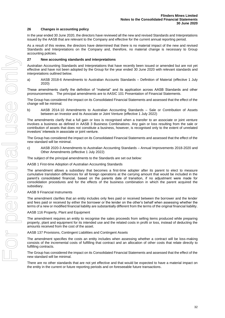# **26 Changes in accounting policy**

In the year ended 30 June 2020, the directors have reviewed all the new and revised Standards and Interpretations issued by the AASB that are relevant to the Company and effective for the current annual reporting period.

As a result of this review, the directors have determined that there is no material impact of the new and revised Standards and Interpretations on the Company and, therefore, no material change is necessary to Group accounting policies.

# **27 New accounting standards and interpretations**

Australian Accounting Standards and Interpretations that have recently been issued or amended but are not yet effective and have not been adopted by the Group for the year ended 30 June 2020 with relevant standards and interpretations outlined below.

a) AASB 2018-6 Amendments to Australian Accounts Standards – Definition of Material (effective 1 July 2020)

These amendments clarify the definition of "material" and its application across AASB Standards and other pronouncements. The principal amendments are to AASIC 101 Presentation of Financial Statements.

The Group has considered the impact on its Consolidated Financial Statements and assessed that the effect of the change will be minimal.

b) AASB 2014-10 Amendments to Australian Accounting Standards – Sale or Contribution of Assets between an Investor and its Associate or Joint Venture (effective 1 July 2022)

The amendments clarify that a full gain or loss is recognised when a transfer to an associate or joint venture involves a business as defined in AASB 3 Business Combinations. Any gain or loss resulting from the sale or contribution of assets that does not constitute a business, however, is recognised only to the extent of unrelated investors' interests in associate or joint venture.

The Group has considered the impact on its Consolidated Financial Statements and assessed that the effect of the new standard will be minimal.

c) AASB 2020-3 Amendments to Australian Accounting Standards – Annual Improvements 2018-2020 and Other Amendments (effective 1 July 2022)

The subject of the principal amendments to the Standards are set out below:

AASB 1 First-time Adoption of Australian Accounting Standards

The amendment allows a subsidiary that becomes a first-time adopter after its parent to elect to measure cumulative translation differences for all foreign operations at the carrying amount that would be included in the parent's consolidated financial, based on the parents date of transition, if no adjustment were made for consolidation procedures and for the effects of the business combination in which the parent acquired the subsidiary.

#### AASB 9 Financial Instruments

The amendment clarifies that an entity includes only fees paid or received between the borrower and the lender and fees paid or received by either the borrower or the lender on the other's behalf when assessing whether the terms of a new or modified financial liability are substantially different from the terms of the original financial liability.

AASB 116 Property, Plant and Equipment

The amendment requires an entity to recognise the sales proceeds from selling items produced while preparing property, plant and equipment for its intended use and the related costs in profit or loss, instead of deducting the amounts received from the cost of the asset.

AASB 137 Provisions, Contingent Liabilities and Contingent Assets

The amendment specifies the costs an entity includes when assessing whether a contract will be loss-making consists of the incremental costs of fulfilling that contract and an allocation of other costs that relate directly to fulfilling contracts.

The Group has considered the impact on its Consolidated Financial Statements and assessed that the effect of the new standard will be minimal.

There are no other standards that are not yet effective and that would be expected to have a material impact on the entity in the current or future reporting periods and on foreseeable future transactions.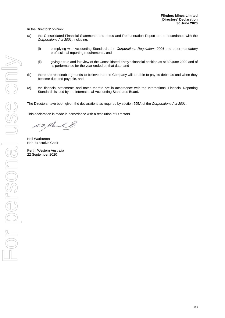In the Directors' opinion:

- (a) the Consolidated Financial Statements and notes and Remuneration Report are in accordance with the *Corporations Act 2001*, including:
	- (i) complying with Accounting Standards, the *Corporations Regulations 2001* and other mandatory professional reporting requirements, and
	- (ii) giving a true and fair view of the Consolidated Entity's financial position as at 30 June 2020 and of its performance for the year ended on that date, and
- (b) there are reasonable grounds to believe that the Company will be able to pay its debts as and when they become due and payable, and
- (c) the financial statements and notes thereto are in accordance with the International Financial Reporting Standards issued by the International Accounting Standards Board.

The Directors have been given the declarations as required by section 295A of the *Corporations Act 2001*.

This declaration is made in accordance with a resolution of Directors.

S. F. Klenk &

Neil Warburton Non-Executive Chair

Perth, Western Australia 22 September 2020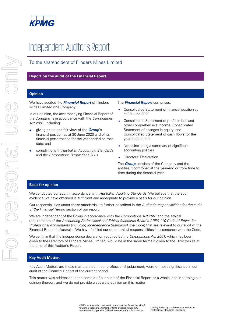

# Independent Auditor's Report

# To the shareholders of Flinders Mines Limited

# **Report on the audit of the Financial Report**

# **Opinion**

We have audited the **Financial Report** of Flinders Mines Limited (the Company).

In our opinion, the accompanying Financial Report of the Company is in accordance with the Corporations Act 2001, including:

- giving a true and fair view of the **Group**'s financial position as at 30 June 2020 and of its financial performance for the year ended on that date; and
- complying with Australian Accounting Standards and the Corporations Regulations 2001

# The **Financial Report** comprises:

- Consolidated Statement of financial position as at 30 June 2020
- Consolidated Statement of profit or loss and other comprehensive income, Consolidated Statement of changes in equity, and Consolidated Statement of cash flows for the year then ended
- Notes including a summary of significant accounting policies
- Directors' Declaration.

The **Group** consists of the Company and the entities it controlled at the year-end or from time to time during the financial year.

# **Basis for opinion**

We conducted our audit in accordance with Australian Auditing Standards. We believe that the audit evidence we have obtained is sufficient and appropriate to provide a basis for our opinion.

Our responsibilities under those standards are further described in the Auditor's responsibilities for the audit of the Financial Report section of our report.

We are independent of the Group in accordance with the Corporations Act 2001 and the ethical requirements of the Accounting Professional and Ethical Standards Board's APES 110 Code of Ethics for Professional Accountants (including Independence Standards) (the Code) that are relevant to our audit of the Financial Report in Australia. We have fulfilled our other ethical responsibilities in accordance with the Code.

We confirm that the independence declaration required by the Corporations Act 2001, which has been given to the Directors of Flinders Mines Limited, would be in the same terms if given to the Directors as at the time of this Auditor's Report.

# **Key Audit Matters**

Key Audit Matters are those matters that, in our professional judgement, were of most significance in our audit of the Financial Report of the current period.

This matter was addressed in the context of our audit of the Financial Report as a whole, and in forming our opinion thereon, and we do not provide a separate opinion on this matter.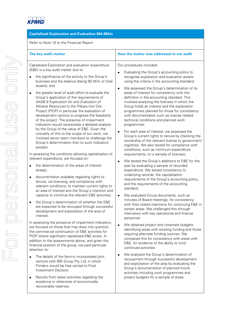

# **Capitalised Exploration and Evaluation \$64.982m**

| Refer to Note 10 to the Financial Report                                                                                                                                                                                                                                                                                                                                                                                                                                                                                                                                                                         |  |  |  |
|------------------------------------------------------------------------------------------------------------------------------------------------------------------------------------------------------------------------------------------------------------------------------------------------------------------------------------------------------------------------------------------------------------------------------------------------------------------------------------------------------------------------------------------------------------------------------------------------------------------|--|--|--|
| The key audit matter                                                                                                                                                                                                                                                                                                                                                                                                                                                                                                                                                                                             |  |  |  |
| Capitalised Exploration and evaluation expenditure<br>(E&E) is a key audit matter due to:                                                                                                                                                                                                                                                                                                                                                                                                                                                                                                                        |  |  |  |
| the significance of the activity to the Group's<br>business and the balance (being 93.45% of total<br>assets); and                                                                                                                                                                                                                                                                                                                                                                                                                                                                                               |  |  |  |
| the greater level of audit effort to evaluate the<br>Group's application of the requirements of<br>AASB 6 Exploration for and Evaluation of<br>Mineral Resources to the Pilbara Iron Ore<br>Project (PIOP) in particular the evaluation of<br>development options to progress the feasibility<br>of the project. The presence of impairment<br>indicators would necessitate a detailed analysis<br>by the Group of the value of E&E. Given the<br>criticality of this to the scope of our work, we<br>involved senior team members to challenge the<br>Group's determination that no such indicators<br>existed. |  |  |  |
| In assessing the conditions allowing capitalisation of<br>relevant expenditure, we focused on:                                                                                                                                                                                                                                                                                                                                                                                                                                                                                                                   |  |  |  |
| the determination of the areas of interest<br>(areas);                                                                                                                                                                                                                                                                                                                                                                                                                                                                                                                                                           |  |  |  |
| documentation available regarding rights to<br>tenure, via licensing, and compliance with<br>relevant conditions, to maintain current rights to<br>an area of interest and the Group's intention and<br>capacity to continue the relevant E&E activities;                                                                                                                                                                                                                                                                                                                                                        |  |  |  |
| the Group's determination of whether the E&E<br>are expected to be recouped through successful<br>development and exploitation of the area of<br>interest.                                                                                                                                                                                                                                                                                                                                                                                                                                                       |  |  |  |
| In assessing the presence of impairment indicators,<br>we focused on those that may draw into question<br>the commercial continuation of E&E activities for<br>PIOP where significant capitalised E&E exists. In<br>addition to the assessments above, and given the<br>financial position of the group, we paid particular<br>attention to:                                                                                                                                                                                                                                                                     |  |  |  |
| The details of the farm-in incorporated joint<br>venture with BBI Group Pty Ltd, in which<br>Flinders would be free carried to Final<br>Investment Decision.                                                                                                                                                                                                                                                                                                                                                                                                                                                     |  |  |  |

• Results from latest activities regarding the existence or otherwise of economically recoverable reserves.

| Our procedures included: |  |
|--------------------------|--|
|--------------------------|--|

• Evaluating the Group's accounting policy to recognise exploration and evaluation assets using the criteria in the accounting standard;

**The key audit matter How the matter was addressed in our audit**

- We assessed the Group's determination of its areas of interest for consistency with the definition in the accounting standard. This involved analysing the licenses in which the Group holds an interest and the exploration programmes planned for those for consistency with documentation such as license related technical conditions and planned work programmes
- For each area of interest, we assessed the Group's current rights to tenure by checking the ownership of the relevant license to government registries. We also tested for compliance with conditions, such as minimum expenditure requirements, on a sample of licenses;
- We tested the Group's additions to E&E for the year by evaluating a sample of recorded expenditure. We tested consistency to underlying records, the capitalisation requirements of the Group's accounting policy, and the requirements of the accounting standard;
- We evaluated Group documents, such as minutes of Board meetings, for consistency with their stated intentions for continuing E&E in certain areas. We challenged this through interviews with key operational and finance personnel.
- We obtained project and corporate budgets identifying areas with existing funding and those requiring alternate funding sources. We compared this for consistency with areas with E&E, for evidence of the ability to fund continued activities.
- We analysed the Group's determination of recoupment through successful development and exploitation of the area by evaluating the Group's documentation of planned future activities including work programmes and project budgets for a sample of areas.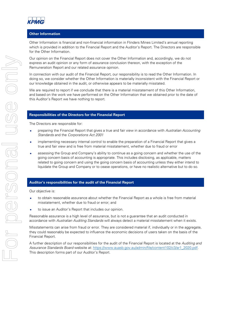

# **Other Information**

Other Information is financial and non-financial information in Flinders Mines Limited's annual reporting which is provided in addition to the Financial Report and the Auditor's Report. The Directors are responsible for the Other Information.

Our opinion on the Financial Report does not cover the Other Information and, accordingly, we do not express an audit opinion or any form of assurance conclusion thereon, with the exception of the Remuneration Report and our related assurance opinion.

In connection with our audit of the Financial Report, our responsibility is to read the Other Information. In doing so, we consider whether the Other Information is materially inconsistent with the Financial Report or our knowledge obtained in the audit, or otherwise appears to be materially misstated.

We are required to report if we conclude that there is a material misstatement of this Other Information, and based on the work we have performed on the Other Information that we obtained prior to the date of this Auditor's Report we have nothing to report.

# **Responsibilities of the Directors for the Financial Report**

The Directors are responsible for:

- preparing the Financial Report that gives a true and fair view in accordance with Australian Accounting Standards and the Corporations Act 2001
- implementing necessary internal control to enable the preparation of a Financial Report that gives a true and fair view and is free from material misstatement, whether due to fraud or error
- assessing the Group and Company's ability to continue as a going concern and whether the use of the going concern basis of accounting is appropriate. This includes disclosing, as applicable, matters related to going concern and using the going concern basis of accounting unless they either intend to liquidate the Group and Company or to cease operations, or have no realistic alternative but to do so.

# **Auditor's responsibilities for the audit of the Financial Report**

Our objective is:

- to obtain reasonable assurance about whether the Financial Report as a whole is free from material misstatement, whether due to fraud or error; and
- to issue an Auditor's Report that includes our opinion.

Reasonable assurance is a high level of assurance, but is not a guarantee that an audit conducted in accordance with Australian Auditing Standards will always detect a material misstatement when it exists.

Misstatements can arise from fraud or error. They are considered material if, individually or in the aggregate, they could reasonably be expected to influence the economic decisions of users taken on the basis of the Financial Report.

A further description of our responsibilities for the audit of the Financial Report is located at the Auditing and Assurance Standards Board website at: https://www.auasb.gov.au/admin/file/content102/c3/ar1\_2020.pdf. This description forms part of our Auditor's Report.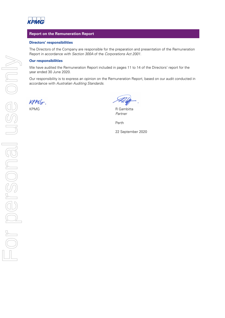

# **Report on the Remuneration Report**

# **Directors' responsibilities**

The Directors of the Company are responsible for the preparation and presentation of the Remuneration Report in accordance with Section 300A of the Corporations Act 2001.

# **Our responsibilities**

We have audited the Remuneration Report included in pages 11 to 14 of the Directors' report for the year ended 30 June 2020.

Our responsibility is to express an opinion on the Remuneration Report, based on our audit conducted in accordance with Australian Auditing Standards.

 $KPMG$ .

KPMG R Gambitta Partner

Perth

22 September 2020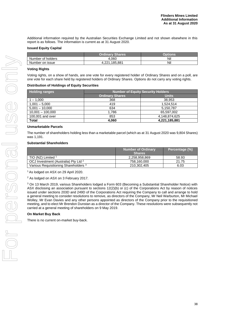Additional information required by the Australian Securities Exchange Limited and not shown elsewhere in this report is as follows. The information is current as at 31 August 2020.

# **Issued Equity Capital**

|                   | <b>Ordinary Shares</b>  | .<br>Dotions |
|-------------------|-------------------------|--------------|
| Number of holders | 4.060                   | Nil          |
| Number on issue   | .185.881<br>ດດ4<br>1.ZZ | Nil          |

# **Voting Rights**

Voting rights, on a show of hands, are one vote for every registered holder of Ordinary Shares and on a poll, are one vote for each share held by registered holders of Ordinary Shares. Options do not carry any voting rights.

# **Distribution of Holdings of Equity Securities**

| <b>Holding ranges</b> | <b>Number of Equity Security Holders</b> |               |  |
|-----------------------|------------------------------------------|---------------|--|
|                       | <b>Ordinary Shares</b>                   | <b>Units</b>  |  |
| $1 - 1.000$           | 368                                      | 38.953        |  |
| $1,001 - 5,000$       | 419                                      | 1.524.514     |  |
| $5,001 - 10,000$      | 634                                      | 5,150,787     |  |
| $10,001 - 100,000$    | 1,786                                    | 65,597,002    |  |
| 100,001 and over      | 853                                      | 4,148,874,625 |  |
| Total                 | 4.060                                    | 4,221,185,881 |  |

# **Unmarketable Parcels**

The number of shareholders holding less than a marketable parcel (which as at 31 August 2020 was 9,804 Shares) was 1,191.

# **Substantial Shareholders**

|                                                  | <b>Number of Ordinary</b><br><b>Shares</b> | Percentage (%) |
|--------------------------------------------------|--------------------------------------------|----------------|
| TIO (NZ) Limited $1$                             | 2.258.958.869                              | 58.93          |
| OCJ Investment (Australia) Pty Ltd <sup>2</sup>  | 758.160.000                                | 21.75          |
| Various Requisitioning Shareholders <sup>3</sup> | 210,302,405                                | 6.03           |

<sup>1</sup> As lodged on ASX on 29 April 2020.

<sup>2</sup> As lodged on ASX on 3 February 2017.

<sup>3</sup> On 13 March 2019, various Shareholders lodged a Form 603 (Becoming a Substantial Shareholder Notice) with ASX disclosing an association pursuant to sections 12(2)(b) or (c) of the Corporations Act by reason of notices issued under sections 203D and 249D of the Corporations Act requiring the Company to call and arrange to hold a general meeting to consider resolutions to remove, as directors of the Company, Mr Neil Warburton, Mr Michael Wolley, Mr Evan Davies and any other persons appointed as directors of the Company prior to the requisitioned meeting, and to elect Mr Brendon Dunstan as a director of the Company. These resolutions were subsequently not carried at a general meeting of shareholders on 9 May 2019.

# **On Market Buy Back**

There is no current on-market buy-back.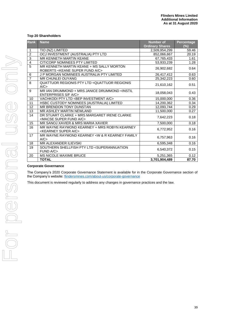# **Top 20 Shareholders**

| <b>Rank</b>    | <b>Name</b>                                                                                 | <b>Number of</b>       | <b>Percentage</b> |
|----------------|---------------------------------------------------------------------------------------------|------------------------|-------------------|
| $\mathbf{1}$   |                                                                                             | <b>Ordinary Shares</b> | (%)               |
| $\overline{c}$ | TIO (NZ) LIMITED                                                                            | 2,509,954,299          | 59.46             |
| 3              | OCJ INVESTMENT (AUSTRALIA) PTY LTD                                                          | 852,066,667            | 20.19             |
| $\overline{4}$ | MR KENNETH MARTIN KEANE                                                                     | 67,765,433             | 1.61              |
|                | CITICORP NOMINEES PTY LIMITED                                                               | 53,933,239             | 1.28              |
| 5              | MR KENNETH MARTIN KEANE + MS SALLY MORTON<br>ROBERTS < KEANE SUPER FUND A/C>                | 26,902,682             | 0.64              |
| 6              | J P MORGAN NOMINEES AUSTRALIA PTY LIMITED                                                   | 26,417,412             | 0.63              |
| $\overline{7}$ | <b>MR CHUNLEI OUYANG</b>                                                                    | 25,342,223             | 0.60              |
| 8              | QUATTUOR REGIONIS PTY LTD <quattuor regionis<br="">A/C</quattuor>                           | 21,610,162             | 0.51              |
| 9              | MR IAN DRUMMOND + MRS JANICE DRUMMOND <instil<br><b>ENTERPRISES S/F A/C&gt;</b></instil<br> | 18,058,043             | 0.43              |
| 10             | VACHKODI PTY LTD <bep a="" c="" investment=""></bep>                                        | 15,000,000             | 0.36              |
| 11             | HSBC CUSTODY NOMINEES (AUSTRALIA) LIMITED                                                   | 14,200,362             | 0.34              |
| 12             | MR BRENDON TONY DUNSTAN                                                                     | 12,093,744             | 0.29              |
| 13             | MR ASHLEY MARTIN NEWLAND                                                                    | 11,500,000             | 0.27              |
| 14             | DR STUART CLARKE + MRS MARGARET IRENE CLARKE<br><macse a="" c="" fund="" super=""></macse>  | 7,642,223              | 0.18              |
| 15             | MR SANOJ XAVIER & MRS MARIA XAVIER                                                          | 7,500,000              | 0.18              |
| 16             | MR WAYNE RAYMOND KEARNEY + MRS ROBYN KEARNEY<br><kearney a="" c="" super=""></kearney>      | 6,772,952              | 0.16              |
| 17             | MR WAYNE RAYMOND KEARNEY < W & R KEARNEY FAMILY<br>A/C                                      | 6,757,963              | 0.16              |
| 18             | MR ALEXANDER ILIEVSKI                                                                       | 6,595,348              | 0.16              |
| 19             | SOUTHERN SHELLFISH PTY LTD <superannuation<br>FUND A/C&gt;</superannuation<br>              | 6,540,372              | 0.15              |
| 20             | MS NICOLE MAXIME BRUCE                                                                      | 5,251,365              | 0.12              |
|                | <b>TOTAL</b>                                                                                | 3,701,904,489          | 87.70             |

# **Corporate Governance**

The Company's 2020 Corporate Governance Statement is available for in the Corporate Governance section of the Company's website: [flindersmines.com/about-us/corporate-governance](http://flindersmines.com/about-us/corporate-governance)

This document is reviewed regularly to address any changes in governance practices and the law.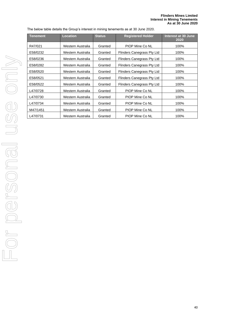The below table details the Group's interest in mining tenements as at 30 June 2020.

| Tenement | <b>Location</b>   | <b>Status</b> | <b>Registered Holder</b>   | Interest at 30 June<br>2020 |
|----------|-------------------|---------------|----------------------------|-----------------------------|
| R47/021  | Western Australia | Granted       | PIOP Mine Co NL            | 100%                        |
| E58/0232 | Western Australia | Granted       | Flinders Canegrass Pty Ltd | 100%                        |
| E58/0236 | Western Australia | Granted       | Flinders Canegrass Pty Ltd | 100%                        |
| E58/0282 | Western Australia | Granted       | Flinders Canegrass Pty Ltd | 100%                        |
| E58/0520 | Western Australia | Granted       | Flinders Canegrass Pty Ltd | 100%                        |
| E58/0521 | Western Australia | Granted       | Flinders Canegrass Pty Ltd | 100%                        |
| E58/0522 | Western Australia | Granted       | Flinders Canegrass Pty Ltd | 100%                        |
| L47/0728 | Western Australia | Granted       | PIOP Mine Co NL            | 100%                        |
| L47/0730 | Western Australia | Granted       | PIOP Mine Co NL            | 100%                        |
| L47/0734 | Western Australia | Granted       | PIOP Mine Co NL            | 100%                        |
| M47/1451 | Western Australia | Granted       | PIOP Mine Co NL            | 100%                        |
| L47/0731 | Western Australia | Granted       | PIOP Mine Co NL            | 100%                        |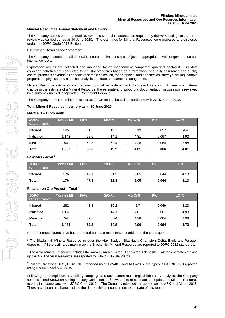# **Mineral Resources Annual Statement and Review**

The Company carries out an annual review of its Mineral Resources as required by the ASX Listing Rules. The review was carried out as at 30 June 2020. The estimates for Mineral Resources were prepared and disclosed under the JORC Code 2012 Edition.

# **Estimation Governance Statement**

The Company ensures that all Mineral Resource estimations are subject to appropriate levels of governance and internal controls.

Exploration results are collected and managed by an independent competent qualified geologist. All data collection activities are conducted to industry standards based on a framework of quality assurance and quality control protocols covering all aspects of sample collection, topographical and geophysical surveys, drilling, sample preparation, physical and chemical analysis and data and sample management.

Mineral Resource estimates are prepared by qualified independent Competent Persons. If there is a material change in the estimate of a Mineral Resource, the estimate and supporting documentation in question is reviewed by a suitable qualified independent Competent Persons.

The Company reports its Mineral Resources on an annual basis in accordance with JORC Code 2012.

# **Total Mineral Resource Inventory as at 30 June 2020**

#### **M47/1451 – Blacksmith <sup>1</sup>**

| <b>JORC</b><br><b>Classification</b> | Tonnes Mt | Fe%  | SiO <sub>2</sub> % | AL <sub>2</sub> O <sub>3</sub> % | P%    | LOI <sub>%</sub> |
|--------------------------------------|-----------|------|--------------------|----------------------------------|-------|------------------|
| Inferred                             | 105       | 51.6 | 15.7               | 5.13                             | 0.057 | 4.4              |
| Indicated                            | 1,148     | 52.6 | 14.1               | 4.81                             | 0.067 | 4.93             |
| Measured                             | 54        | 59.8 | 6.24               | 4.28                             | 0.064 | 2.98             |
| <b>Total</b>                         | 1.307     | 52.8 | 13.9               | 4.81                             | 0.066 | 4.81             |

# **E47/1560 - Anvil <sup>2</sup>**

| <b>JORC</b><br><b>Classification</b> | <b>Tonnes Mt</b> | Fe%  | SiO <sub>2</sub> % | AL <sub>2</sub> O <sub>3</sub> % | P%    | LOI% |
|--------------------------------------|------------------|------|--------------------|----------------------------------|-------|------|
| Inferred                             | 176              | 47.1 | 21.3               | 6.05                             | 0.044 | 4.13 |
| Total                                | 176              | 47.1 | 21.3               | 6.05                             | 0.044 | 4.13 |

# **Pilbara Iron Ore Project – Total <sup>3</sup>**

| <b>JORC</b><br><b>Classification</b> | <b>Tonnes Mt</b> | Fe%  | SiO <sub>2</sub> % | AL <sub>2</sub> O <sub>3</sub> % | $P\%$ | LOI% |
|--------------------------------------|------------------|------|--------------------|----------------------------------|-------|------|
| Inferred                             | 282              | 48.8 | 19.2               | 5.7                              | 0.049 | 4.23 |
| Indicated                            | 1,148            | 52.6 | 14.1               | 4.81                             | 0.067 | 4.93 |
| Measured                             | 54               | 59.8 | 6.24               | 4.28                             | 0.064 | 2.98 |
| <b>Total</b>                         | .484             | 52.2 | 14.8               | 4.96                             | 0.064 | 4.73 |

Note: Tonnage figures have been rounded and as a result may not add up to the totals quoted.

<sup>1</sup> The Blacksmith Mineral Resource includes the Ajax, Badger, Blackjack, Champion, Delta, Eagle and Paragon deposits. All the estimates making up the Blacksmith Mineral Resource are reported to JORC 2012 standards.

<sup>2</sup> The Anvil Mineral Resource includes the Area F, Area G, Area H and Area J deposits. All the estimates making up the Anvil Mineral Resource are reported to JORC 2012 standards.

<sup>3</sup> Cut off: Ore types DID1, DID2, DID3 reported using Fe>40% and Al<sub>2</sub>O<sub>3</sub><8%, ore types DID4, CID, BID reported using Fe $>50\%$  and Al<sub>2</sub>O<sub>3</sub><6%

Following the completion of a drilling campaign and subsequent metallurgical laboratory analysis, the Company commissioned Snowden Mining Industry Consultants ('Snowden') to re-estimate and update the Mineral Resource to bring into compliance with JORC Code 2012. The Company released this update on the ASX on 1 March 2018. There have been no changes since the date of this announcement to the date of this report.